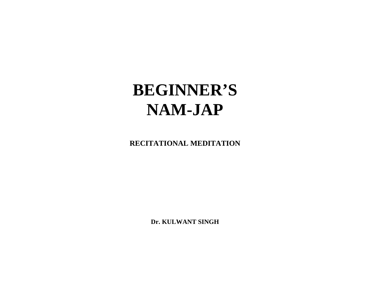# **BEGINNER'S NAM-JAP**

**RECITATIONAL MEDITATION** 

**Dr. KULWANT SINGH**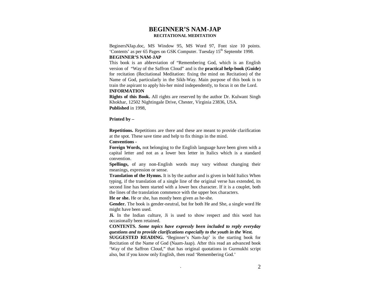# **BEGINNER'S NAM-JAP RECITATIONAL MEDITATION**

BeginersNJap.doc, MS Window 95, MS Word 97, Font size 10 points. 'Contents' as per 65 Pages on GSK Computer. Tuesday 15<sup>th</sup> Septembr 1998. **BEGINNER'S NAM-JAP** 

This book is an abbreviation of "Remembering God, which is an English version of "Way of the Saffron Cloud" and is the **practical help-book (Guide)** for recitation (Recitational Meditation: fixing the mind on Recitation) of the Name of God, particularly in the Sikh-Way. Main purpose of this book is to train the aspirant to apply his-her mind independently, to focus it on the Lord. **INFORMATION** 

**Rights of this Book.** All rights are reserved by the author Dr. Kulwant Singh Khokhar, 12502 Nightingale Drive, Chester, Virginia 23836, USA. **Published** in 1998,

**Printed by –**

**Repetitions.** Repetitions are there and these are meant to provide clarification at the spot. These save time and help to fix things in the mind.

**Conventions -** 

**Foreign Words,** not belonging to the English language have been given with a capital letter and not as a lower box letter in Italics which is a standard convention.

**Spellings,** of any non-English words may vary without changing theirmeanings, expression or sense.

**Translation of the Hymns.** It is by the author and is given in bold Italics When typing, if the translation of a single line of the original verse has extended, its second line has been started with a lower box character. If it is a couplet, both the lines of the translation commence with the upper box characters.

**He or she.** He or she, has mostly been given as he-she.

**Gender.** The book is gender-neutral, but for both He and She, a single word He might have been used.

**Ji.** In the Indian culture, Ji is used to show respect and this word has occasionally been retained.

**CONTENTS.** *Some topics have expressly been included to reply everyday questions and to provide clarifications especially to the youth in the West.* 

**SUGGESTED READING. '**Beginner's Nam-Jap' is the starting book for Recitation of the Name of God (Naam-Jaap). After this read an advanced book 'Way of the Saffron Cloud," that has original quotations in Gurmukhi script also, but if you know only English, then read 'Remembering God.'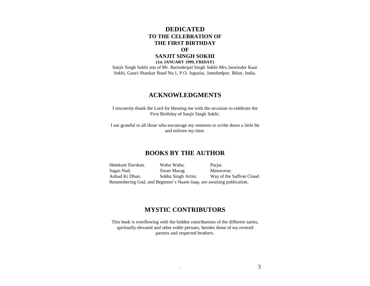# **DEDICATED TO THE CELEBRATION OF THE FIRST BIRTHDAY OF**

# **SANJIT SINGH SOKHI (1st JANUARY 1999, FRIDAY)**

 Sanjit Singh Sokhi son of Mr. Barinderpal Singh Sokhi-Mrs.Jaswinder Kaur Sokhi, Gauri-Shankar Road No.1, P.O. Jugsalai, Jamshedpur, Bihar, India.

# **ACKNOWLEDGMENTS**

I sincserely thank the Lord for blessing me with the occasion to celebrate the First Birthday of Sanjit Singh Sokhi.

I am grateful to all those who encourage my ventures to scribe down a little bit and enliven my time.

# **BOOKS BY THE AUTHOR**

Hemkunt Darshan. Wahu Wahu. Parjat. Sagar-Nad. Jiwan Marag. Mansrovar. Anhad Ki Dhun. Sobha Singh Artist. Way of the Saffron Cloud. Remembering God, and Beginner's Naam-Jaap, are awaiting publication.

# **MYSTIC CONTRIBUTORS**

This book is overflowing with the hidden contributions of the different saints, spiritually elevated and other noble persons, besides those of my revered parents and respected brothers.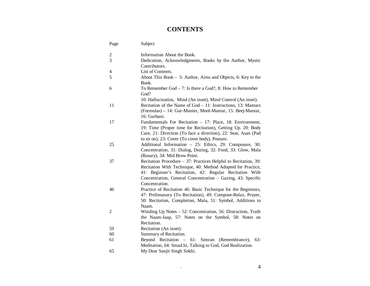# **CONTENTS**

| Page           | Subject                                                                                                                                                                                                                                                                   |
|----------------|---------------------------------------------------------------------------------------------------------------------------------------------------------------------------------------------------------------------------------------------------------------------------|
| 2              | Information About the Book.                                                                                                                                                                                                                                               |
| 3              | Dedication, Acknowledgments, Books by the Author, Mystic<br>Contributors.                                                                                                                                                                                                 |
| 4              | List of Contents.                                                                                                                                                                                                                                                         |
| 5              | About This Book - 5: Author, Aims and Objects, 6: Key to the<br>Book.                                                                                                                                                                                                     |
| 6              | To Remember God $-7$ : Is there a God?, 8: How to Remember<br>God?                                                                                                                                                                                                        |
| 11             | 10: Hallucinatios, Mind (An inset), Mind Control (An inset).<br>Recitation of the Name of God - 11: Instructions, 13: Mantars<br>(Formulas) - 14: Gur-Manter, Mool-Mantar, 15: Beej-Mantar,<br>16: Gurbani.                                                               |
| 17             | Fundamentals For Recitation - 17: Place, 18: Environment,<br>19: Time (Proper time for Recitation), Getting Up. 20: Body<br>Care, 21: Direction (To face a direction), 22: Seat, Asan (Pad<br>to sit on), 23: Cover (To cover body), Posture.                             |
| 25             | Additional Information - 25: Ethics, 29: Composure, 30:<br>Concentration, 31: Dialog, Dozing, 32: Food, 33: Glow, Mala<br>(Rosary), 34: Mid Brow Point.                                                                                                                   |
| 37             | Recitation Procedure – 37: Practices Helpful to Recitation, 39:<br>Recitation With Technique, 40: Method Adopted for Practice,<br>41: Beginner's Recitation, 42: Regular Recitation With<br>Concentration, General Concentration - Gazing, 43: Specific<br>Concentration. |
| 46             | Practice of Recitation 46: Basic Technique for the Beginners,<br>47: Prelimanary (To Recitation), 49: Compose-Relax, Prayer,<br>50: Recitation, Completion, Mala, 51: Symbol, Additions to<br>Naam.                                                                       |
| $\overline{2}$ | Winding Up Notes - 52: Concentration, 56: Distraction, Truth<br>the Naam-Jaap, 57: Notes on the Symbol, 58: Notes on<br>Recitation.                                                                                                                                       |
| 59             | Recitation (An inset).                                                                                                                                                                                                                                                    |
| 60             | Summary of Recitation.                                                                                                                                                                                                                                                    |
| 61             | Beyond Recitation – 61: Simran (Remembrance),<br>63:<br>Meditation, 64: Smad.hi, Talking to God, God Realization.                                                                                                                                                         |
| 65             | My Dear Sanjit Singh Sokhi.                                                                                                                                                                                                                                               |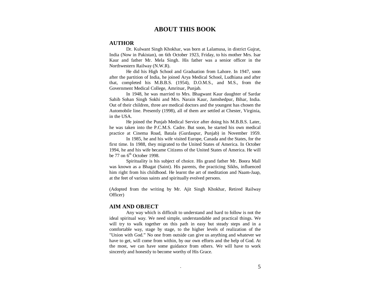# **ABOUT THIS BOOK**

# **AUTHOR**

 Dr. Kulwant Singh Khokhar, was born at Lalamusa, in district Gujrat, India (Now in Pakistan), on 6th October 1923, Friday, to his mother Mrs. Isar Kaur and father Mr. Mela Singh. His father was a senior officer in the Northwestern Railway (N.W.R).

 He did his High School and Graduation from Lahore. In 1947, soon after the partition of India, he joined Arya Medical School, Ludhiana and after that, completed his M.B.B.S. (1954), D.O.M.S., and M.S., from the Government Medical College, Amritsar, Punjab.

 In 1948, he was married to Mrs. Bhagwant Kaur daughter of Sardar Sahib Sohan Singh Sokhi and Mrs. Narain Kaur, Jamshedpur, Bihar, India. Out of their children, three are medical doctors and the youngest has chosen the Automobile line. Presently (1998), all of them are settled at Chester, Virginia, in the USA.

 He joined the Punjab Medical Service after doing his M.B.B.S. Later, he was taken into the P.C.M.S. Cadre. But soon, he started his own medical practice at Cinema Road, Batala (Gurdaspur, Punjab) in November 1959.

 In 1985, he and his wife visited Europe, Canada and the States, for the first time. In 1988, they migrated to the United States of America. In October 1994, he and his wife became Citizens of the United States of America. He will be 77 on  $6<sup>th</sup>$  October 1998.

 Spirituality is his subject of choice. His grand father Mr. Boora Mall was known as a Bhagat (Saint). His parents, the practicing Sikhs, influenced him right from his childhood. He learnt the art of meditation and Naam-Jaap, at the feet of various saints and spiritually evolved persons.

(Adopted from the writing by Mr. Ajit Singh Khokhar, Retired Railway Officer)

### **AIM AND OBJECT**

 Any way which is difficult to understand and hard to follow is not the ideal spiritual way. We need simple, understandable and practical things. We will try to walk together on this path in easy but steady steps and in a comfortable way, stage by stage, to the higher levels of realization of the "Union with God." No one from outside can give us anything and whatever we have to get, will come from within, by our own efforts and the help of God. At the most, we can have some guidance from others. We will have to work sincerely and honestly to become worthy of His Grace.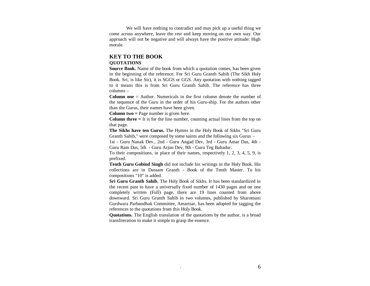We will have nothing to contradict and may pick up a useful thing we come across anywhere, leave the rest and keep moving on our own way. Our approach will not be negative and will always have the positive attitude: High morale.

# **KEY TO THE BOOK**

# **QUOTATIONS**

 **Source Book.** Name of the book from which a quotation comes, has been given in the beginning of the reference. For Sri Guru Granth Sahib (The Sikh Holy Book. Sri, is like Sir), it is SGGS or GGS. Any quotation with nothing tagged to it means this is from Sri Guru Granth Sahib. The reference has three columns –

**Column one** = Author. Numericals in the first column denote the number of the sequence of the Guru in the order of his Guru-ship. For the authors other than the Gurus, their names have been given.

**Column two =** Page number is given here.

**Column three =** It is for the line number, counting actual lines from the top on that page.

**The Sikhs have ten Gurus.** The Hymns in the Holy Book of Sikhs "Sri Guru Granth Sahib," were composed by some saints and the following six Gurus -

1st - Guru Nanak Dev., 2nd - Guru Angad Dev, 3rd - Guru Amar Das, 4th - Guru Ram Das, 5th - Guru Arjun Dev, 9th - Guru Teg Bahadur.

To their compositions, in place of their names, respectively 1, 2, 3, 4, 5, 9, is prefixed.

**Tenth Guru Gobind Singh** did not include his writings in the Holy Book. His collections are in Dassam Granth - Book of the Tenth Master. To his compositions "10" is added.

**Sri Guru Granth Sahib**, The Holy Book of Sikhs. It has been standardized in the recent past to have a universally fixed number of 1430 pages and on one completely written (Full) page, there are 19 lines counted from above downward. Sri Guru Granth Sahib in two volumes, published by Sharomani Gurdwara Parbandhak Committee, Amartsar, has been adopted for tagging the references to the quotations from this Holy Book.

**Quotations.** The English translation of the quotations by the author, is a broad transliteration to make it simple to grasp the essence.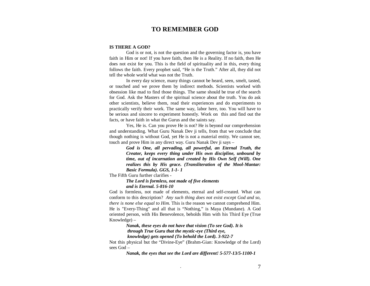# **TO REMEMBER GOD**

### **IS THERE A GOD?**

 God is or not, is not the question and the governing factor is, you have faith in Him or not! If you have faith, then He is a Reality. If no faith, then He does not exist for you. This is the field of spirituality and in this, every thing follows the faith. Every prophet said, "He is the Truth." After all, they did not tell the whole world what was not the Truth.

In every day science, many things cannot be heard, seen, smelt, tasted, or touched and we prove them by indirect methods. Scientists worked with obsession like mad to find those things. The same should be true of the search for God. Ask the Masters of the spiritual science about the truth. You do ask other scientists, believe them, read their experiences and do experiments to practically verify their work. The same way, labor here, too. You will have to be serious and sincere to experiment honestly. Work on this and find out the facts, or have faith in what the Gurus and the saints say.

Yes, He is. Can you prove He is not? He is beyond our comprehension and understanding. What Guru Nanak Dev ji tells, from that we conclude that though nothing is without God, yet He is not a material entity. We cannot see, touch and prove Him in any direct way. Guru Nanak Dev ji says –

> *God is One, all pervading, all powerful, an Eternal Truth, the Creator, keeps every thing under His own discipline, unbound by time, out of incarnation and created by His Own Self (Will). One realizes this by His grace. (Transliteration of the Mool-Mantar: Basic Formula). GGS, 1-1- 1*

The Fifth Guru further clarifies -

 *The Lord is formless, not made of five elements and is Eternal. 5-816-10* 

God is formless, not made of elements, eternal and self-created. What can conform to this description? *Any such thing does not exist except God and so, there is none else equal to Him.* This is the reason we cannot comprehend Him. He is "Every-Thing" and all that is "Nothing," is Maya (Mundane). A God oriented person, with His Benevolence, beholds Him with his Third Eye (True Knowledge) –

> *Nanak, these eyes do not have that vision (To see God). It is through True Guru that the mystic-eye (Third eye, knowledge) gets opened (To behold the Lord). 3-922-7*

Not this physical but the "Divine-Eye" (Brahm-Gian: Knowledge of the Lord) sees God –

 *Nanak, the eyes that see the Lord are different! 5-577-13/5-1100-1*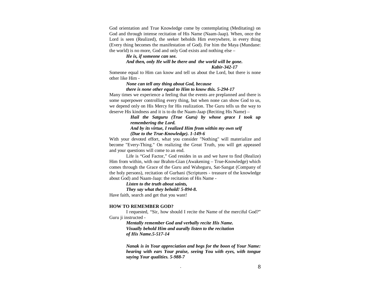God orientation and True Knowledge come by contemplating (Meditating) on God and through intense recitation of His Name (Naam-Jaap). When, once the Lord is seen (Realized), the seeker beholds Him everywhere, in every thing (Every thing becomes the manifestation of God). For him the Maya (Mundane: the world) is no more, God and only God exists and nothing else –

### *He is, if someone can see. And then, only He will be there and the world will be gone. Kabir-342-17*

Someone equal to Him can know and tell us about the Lord, but there is none other like Him -

### *None can tell any thing about God, because*

#### *there is none other equal to Him to know this. 5-294-17*

 Many times we experience a feeling that the events are preplanned and there is some superpower controlling every thing, but when none can show God to us, we depend only on His Mercy for His realization. The Guru tells us the way to deserve His kindness and it is to do the Naam-Jaap (Reciting His Name) –

# *Hail the Satguru (True Guru) by whose grace I took up remembering the Lord.*

### *And by its virtue, I realized Him from within my own self(Due to the True-Knowledge). 1-149-6*

With your devoted effort, what you consider "Nothing" will materialize and become "Every-Thing." On realizing the Great Truth, you will get appeased and your questions will come to an end.

Life is "God Factor," God resides in us and we have to find (Realize) Him from within, with our Brahm-Gian (Awakening – True-Knowledge) which comes through the Grace of the Guru and Waheguru, Sat-Sangat (Company of the holy persons), recitation of Gurbani (Scriptures - treasure of the knowledge about God) and Naam-Jaap: the recitation of His Name -

# *Listen to the truth about saints,*

*They say what they behold! 5-894-8.* 

Have faith, search and get that you want!

### **HOW TO REMEMBER GOD?**

 I requested, "Sir, how should I recite the Name of the merciful God?" Guru ji instructed -

> *Mentally remember God and verbally recite His Name. Visually behold Him and aurally listen to the recitation of His Name.5-517-14*

*Nanak is in Your appreciation and begs for the boon of Your Name: hearing with ears Your praise, seeing You with eyes, with tongue saying Your qualities. 5-988-7*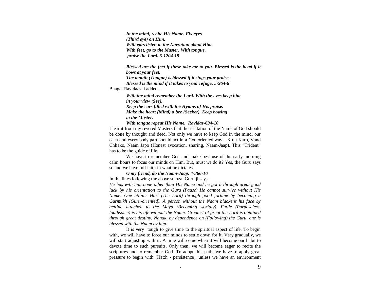*In the mind, recite His Name. Fix eyes (Third eye) on Him. With ears listen to the Narration about Him. With feet, go to the Master. With tongue, praise the Lord. 5-1204-19* 

*Blessed are the feet if these take me to you. Blessed is the head if it bows at your feet. The mouth (Tongue) is blessed if it sings your praise. Blessed is the mind if it takes to your refuge. 5-964-6* Bhagat Ravidaas ji added -

*With the mind remember the Lord. With the eyes keep him in your view (See). Keep the ears filled with the Hymns of His praise. Make the heart (Mind) a bee (Seeker). Keep bowing to the Master.* 

*With tongue repeat His Name. Ravidas-694-10* 

I learnt from my revered Masters that the recitation of the Name of God should be done by thought and deed. Not only we have to keep God in the mind, our each and every body part should act in a God oriented way – Kirat Karo, Vand Chhako, Naam Japo (Honest avocation, sharing, Naam-Jaap). This "Trident" has to be the guide of life.

We have to remember God and make best use of the early morning calm hours to focus our minds on Him. But, must we do it? Yes, the Guru says so and we have full faith in what he dictates –

 *O my friend, do the Naam-Jaap. 4-366-16* 

In the lines following the above stanza, Guru ji says –

*He has with him none other than His Name and he got it through great good luck by his orientation to the Guru (Pause) He cannot survive without His Name. One attains Hari (The Lord) through good fortune by becoming a Gurmukh (Guru-oriented). A person without the Naam blackens his face by getting attached to the Maya (Becoming worldly). Futile (Purposeless, loathsome) is his life without the Naam. Greatest of great the Lord is obtained through great destiny. Nanak, by dependence on (Following) the Guru, one is blessed with the Naam by him.* 

It is very tough to give time to the spiritual aspect of life. To begin with, we will have to force our minds to settle down for it. Very gradually, we will start adjusting with it. A time will come when it will become our habit to devote time to such pursuits. Only then, we will become eager to recite the scriptures and to remember God. To adopt this path, we have to apply great pressure to begin with (Hat:h - persistence), unless we have an environment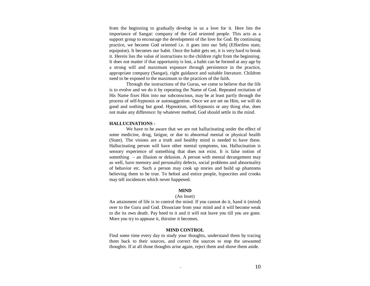from the beginning to gradually develop in us a love for it. Here lies the importance of Sangat: company of the God oriented people. This acts as a support group to encourage the development of the love for God. By continuing practice, we become God oriented i.e. it goes into our Sehj (Effortless state, equipoise). It becomes our habit. Once the habit gets set, it is very hard to break it. Herein lies the value of instructions to the children right from the beginning. It does not matter if that opportunity is lost, a habit can be formed at any age by a strong will and maximum exposure through persistence in the practice, appropriate company (Sangat), right guidance and suitable literature. Children need to be exposed to the maximum to the practices of the faith.

Through the instructions of the Gurus, we come to believe that the life is to evolve and we do it by repeating the Name of God. Repeated recitation of His Name fixes Him into our subconscious, may be at least partly through the process of self-hypnosis or autosuggestion. Once we are set on Him, we will do good and nothing but good. Hypnotism, self-hypnosis or any thing else, does not make any difference: by whatever method, God should settle in the mind.

### **HALLUCINATIONS -**

We have to be aware that we are not hallucinating under the effect of some medicine, drug, fatigue, or due to abnormal mental or physical health (State). The visions are a truth and healthy mind is needed to have these. Hallucinating person will have other mental symptoms, too. Hallucination is sensory experience of something that does not exist. It is false notion of something – an illusion or delusion. A person with mental derangement may as well, have memory and personality defects, social problems and abnormality of behavior etc. Such a person may cook up stories and build up phantoms believing them to be true. To befool and entice people, hypocrites and crooks may tell incidences which never happened.

### **MIND**

#### (An Inset)

An attainment of life is to control the mind. If you cannot do it, hand it (mind) over to the Guru and God. Dissociate from your mind and it will become weak to die its own death. Pay heed to it and it will not leave you till you are gone. More you try to appease it, thirstier it becomes.

### **MIND CONTROL**

Find some time every day to study your thoughts, understand them by tracing them back to their sources, and correct the sources to stop the unwanted thoughts. If at all those thoughts arise again, reject them and shove them aside.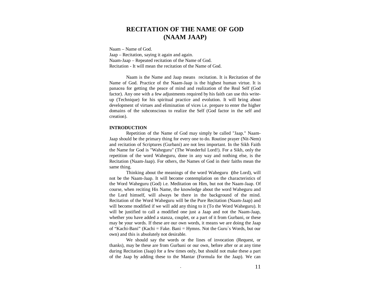# **RECITATION OF THE NAME OF GOD (NAAM JAAP)**

Naam – Name of God. Jaap – Recitation, saying it again and again. Naam-Jaap – Repeated recitation of the Name of God. Recitation - It will mean the recitation of the Name of God.

Naam is the Name and Jaap means recitation. It is Recitation of the Name of God. Practice of the Naam-Jaap is the highest human virtue. It is panacea for getting the peace of mind and realization of the Real Self (God factor). Any one with a few adjustments required by his faith can use this writeup (Technique) for his spiritual practice and evolution. It will bring about development of virtues and elimination of vices i.e. prepare to enter the higher domains of the subconscious to realize the Self (God factor in the self and creation).

### **INTRODUCTION**

Repetition of the Name of God may simply be called "Jaap." Naam-Jaap should be the primary thing for every one to do. Routine prayer (Nit-Nem) and recitation of Scriptures (Gurbani) are not less important. In the Sikh Faith the Name for God is "Waheguru" (The Wonderful Lord!). For a Sikh, only the repetition of the word Waheguru, done in any way and nothing else, is the Recitation (Naam-Jaap). For others, the Names of God in their faiths mean the same thing.

Thinking about the meanings of the word Waheguru **(**the Lord), will not be the Naam-Jaap. It will become contemplation on the characteristics of the Word Waheguru (God) i.e. Meditation on Him, but not the Naam-Jaap. Of course, when reciting His Name, the knowledge about the word Waheguru and the Lord himself, will always be there in the background of the mind. Recitation of the Word Waheguru will be the Pure Recitation (Naam-Jaap) and will become modified if we will add any thing to it (To the Word Waheguru). It will be justified to call a modified one just a Jaap and not the Naam-Jaap, whether you have added a stanza, couplet, or a part of it from Gurbani, or these may be your words. If these are our own words, it means we are doing the Jaap of "Kachi-Bani" (Kachi = Fake. Bani = Hymns. Not the Guru`s Words, but our own) and this is absolutely not desirable.

We should say the words or the lines of invocation (Request, or thanks), may be these are from Gurbani or our own, before after or at any time during Recitation (Jaap) for a few times only, but should not make these a part of the Jaap by adding these to the Mantar (Formula for the Jaap). We can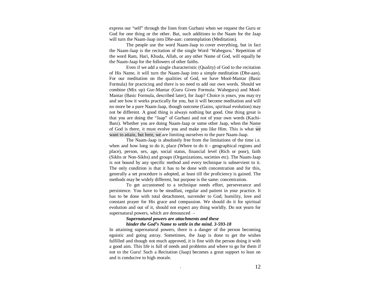express our "self" through the lines from Gurbani when we request the Guru or God for one thing or the other. But, such additions to the Naam for the Jaap will turn the Naam-Jaap into Dhe-aan: contemplation (Meditation).

The people use the word Naam-Jaap to cover everything, but in fact the Naam-Jaap is the recitation of the single Word 'Waheguru.' Repetition of the word Ram, Hari, Khuda, Allah, or any other Name of God, will equally be the Naam-Jaap for the followers of other faiths.

Even if we add a single characteristic (Quality) of God to the recitation of His Name, it will turn the Naam-Jaap into a simple meditation (Dhe-aan). For our meditation on the qualities of God, we have Mool-Mantar (Basic Formula) for practicing and there is no need to add our own words. Should we combine (Mix up) Gur-Mantar (Guru Given Formula: Waheguru) and Mool-Mantar (Basic Formula, described later), for Jaap? Choice is yours, you may try and see how it works practically for you, but it will become meditation and will no more be a pure Naam-Jaap, though outcome (Gains, spiritual evolution) may not be different. A good thing is always nothing but good. One thing great is that you are doing the "Jaap" of Gurbani and not of your own words (Kachi-Bani). Whether you are doing Naam-Jaap or some other Jaap, when the Name of God is there, it must evolve you and make you like Him. This is what we want to attain, but here, we are limiting ourselves to the pure Naam-Jaap.

The Naam-Jaap is absolutely free from the limitations of the time i.e. when and how long to do it, place (Where to do it - geographical regions and place), person, sex, age, social status, financial level (Rich or poor), faith (Sikhs or Non-Sikhs) and groups (Organizations, societies etc). The Naam-Jaap is not bound by any specific method and every technique is subservient to it. The only condition is that it has to be done with concentration and for this, generally a set procedure is adopted, at least till the proficiency is gained. The methods may be widely different, but purpose is the same: concentration.

To get accustomed to a technique needs effort, perseverance and persistence. You have to be steadfast, regular and patient in your practice. It has to be done with total detachment, surrender to God, humility, love and constant prayer for His grace and compassion. We should do it for spiritual evolution and out of it, should not expect any thing worldly. Do not yearn for supernatural powers, which are denounced –

### *Supernatural powers are attachments and these hinder the God's Name to settle in the mind. 3-593-18*

In attaining supernatural powers, there is a danger of the person becoming egoistic and going astray. Sometimes, the Jaap is done to get the wishes fulfilled and though not much approved, it is fine with the person doing it with a good aim. This life is full of needs and problems and where to go for them if not to the Guru! Such a Recitation (Jaap) becomes a great support to lean on and is conducive to high morale.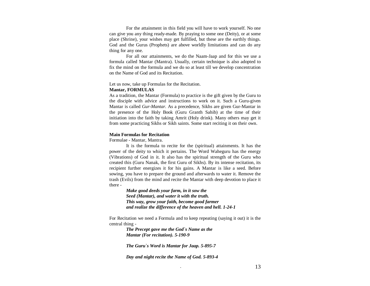For the attainment in this field you will have to work yourself. No one can give you any thing ready-made. By praying to some one (Deity), or at some place (Shrine), your wishes may get fulfilled, but these are the earthly things. God and the Gurus (Prophets) are above worldly limitations and can do any thing for any one.

For all our attainments, we do the Naam-Jaap and for this we use a formula called Mantar (Mantra). Usually, certain technique is also adopted to fix the mind on the formula and we do so at least till we develop concentration on the Name of God and its Recitation.

Let us now, take up Formulas for the Recitation.

### **Mantar, FORMULAS**

 As a tradition, the Mantar (Formula) to practice is the gift given by the Guru to the disciple with advice and instructions to work on it. Such a Guru-given Mantar is called *Gur-Mantar.* As a precedence, Sikhs are given Gur-Mantar in the presence of the Holy Book (Guru Granth Sahib) at the time of their initiation into the faith by taking Amrit (Holy drink). Many others may get it from some practicing Sikhs or Sikh saints. Some start reciting it on their own.

### **Main Formulas for Recitation**

Formulae - Mantar, Mantra.

It is the formula to recite for the (spiritual) attainments. It has the power of the deity to which it pertains. The Word Waheguru has the energy (Vibrations) of God in it. It also has the spiritual strength of the Guru who created this (Guru Nanak, the first Guru of Sikhs). By its intense recitation, its recipient further energizes it for his gains. A Mantar is like a seed. Before sowing, you have to prepare the ground and afterwards to water it. Remove the trash (Evils) from the mind and recite the Mantar with deep devotion to place it there -

> *Make good deeds your farm, in it sow the Seed (Mantar), and water it with the truth. This way, grow your faith, become good farmer and realize the difference of the heaven and hell. 1-24-1*

For Recitation we need a Formula and to keep repeating (saying it out) it is the central thing -

> *The Precept gave me the God`s Name as the Mantar (For recitation). 5-190-9*

*The Guru`s Word is Mantar for Jaap. 5-895-7* 

*Day and night recite the Name of God. 5-893-4*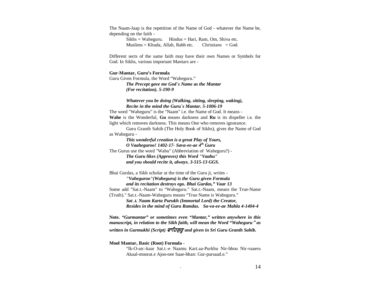The Naam-Jaap is the repetition of the Name of God - whatever the Name be, depending on the faith -

> $Sikhs = Waheguru.$  Hindus = Hari, Ram, Om, Shiva etc.  $Muslims = Khuda, Allah, Rabb etc.$  Christians = God.

Different sects of the same faith may have their own Names or Symbols for God. In Sikhs, various important Mantars are -

#### **Gur-Mantar, Guru's Formula**

Guru Given Formula, the Word "Waheguru." *The Precept gave me God`s Name as the Mantar (For recitation). 5-190-9* 

# *Whatever you be doing (Walking, sitting, sleeping, waking), Recite in the mind the Guru`s Mantar. 5-1006-19*

The word "Waheguru" is the "Naam" i.e. the Name of God. It means - **Wahe** is the Wonderful, **Gu** means darkness and **Ru** is its dispeller i.e. the light which removes darkness. This means One who removes ignorance.

Guru Granth Sahib (The Holy Book of Sikhs), gives the Name of God as Waheguru -

 *This wonderful creation is a great Play of Yours, O Vaaheguroo! 1402-17- Sava-ee-ae 4th Guru*  The Gurus use the word "Wahu" (Abbreviation of Waheguru?) -  *The Guru likes (Approves) this Word "Vaahu" and you should recite it, always. 3-515-13 GGS.* 

Bhai Gurdas, a Sikh scholar at the time of the Guru ji, writes - *"Vaheguroo"(Waheguru) is the Guru given Formula and its recitation destroys ego. Bhai Gurdas," Vaar 13* Some add "Sat.t.-Naam" to "Waheguru." Sat.t.-Naam, means the True-Name (Truth)." Sat.t.-Naam-Waheguru means "True Name is Waheguru."  *Sat .t. Naam Karta Purukh (Immortal Lord) the Creator, Resides in the mind of Guru Ramdas. Sa-va-ee-ae Mahla 4-1404-4* 

**Note.** *"Gurmantar" or sometimes even "Mantar," written anywhere in this manuscript, in relation to the Sikh faith, will mean the Word "Waheguru*-*as* written in Gurmukhi (Script) *ਵਾਹਿਗੁਰੂ and given in Sri Guru Granth Sahib.* 

#### **Mool Mantar, Basic (Root) Formula -**

"Ik-O-an:-kaar Sat.t.-e Naamu Kart.aa-Purkhu Nir-bhou Nir-vaaeru Akaal-moorat.e Ajoo-nee Saae-bhan: Gur-parsaad.e."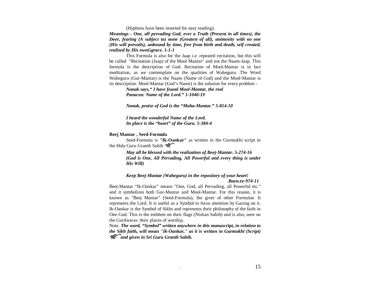(Hyphens have been inserted for easy reading).

*Meanings - One, all pervading God, ever a Truth (Present in all times), the Doer, fearing (A subject to) none (Greatest of all), animosity with no one (His will prevails), unbound by time, free from birth and death, self created, realized by His ownGgrace. 1-1-1* 

This Formula is also for the Jaap i.e. repeated recitation, but this will be called "Recitation (Jaap) of the Mool Mantar" and not the Naam-Jaap. This formula is the description of God. Recitation of Mool-Mantar is in fact meditation, as we contemplate on the qualities of Waheguru. The Word Waheguru (Gur-Mantar) is the Naam (Name of God) and the Mool-Mantar is its description. Mool-Mantar (God's Name) is the solution for every problem -

> *Nanak says," I have found Mool-Mantar, the real Panacea: Name of the Lord." 1-1040-19*

*Nanak, praise of God is the "Maha-Mantar." 5-814-10* 

 *I heard the wonderful Name of the Lord. Its place is the "heart" of the Guru. 5-384-4* 

### **Beej Mantar , Seed-Formula**

 Seed-Formula is **"Ik-Oankar"** as written in the Gurmukhi script in the Holy Guru Granth Sahib  $96^\circ$ 

> *May all be blessed with the realization of Beej-Mantar. 5-274-16 (God is One, All Pervading, All Powerful and every thing is under His Will)*

### *Keep Beej-Mantar (Waheguru) in the repository of your heart! Baen.ee-974-11*

Beej-Mantar "Ik-Oankar" means "One, God, all Pervading, all Powerful etc." and it symbolizes both Gur-Mantar and Mool-Mantar. For this reason, it is known as "Beej Mantar" (Seed-Formula), the giver of other Formulae. It represents the Lord. It is useful as a Symbol to focus attention by Gazing on it. Ik-Oankar is the Symbol of Sikhs and represents their philosophy of the faith in One God. This is the emblem on their flags (Nishan Sahib) and is also, seen on the Gurdwaras: their places of worship.

Note. *The word, "Symbol" written anywhere in this manuscript, in relation to the Sikh faith, will mean "Ik-Oankar," as it is written in Gurmukhi (Script) and given in Sri Guru Granth Sahib.*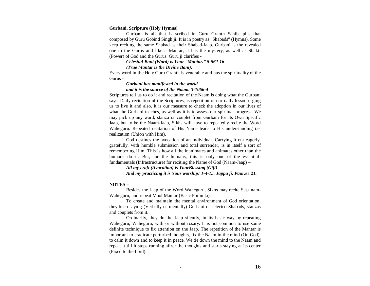#### **Gurbani, Scripture (Holy Hymns)**

Gurbani is all that is scribed in Guru Granth Sahib, plus that composed by Guru Gobind Singh ji. It is in poetry as "Shabads" (Hymns). Some keep reciting the same Shabad as their Shabad-Jaap. Gurbani is the revealed one to the Gurus and like a Mantar, it has the mystery, as well as Shakti (Power) of God and the Gurus. Guru ji clarifies -

### *Celestial Bani (Word) is Your "Mantar." 5-562-16*

### *(True Mantar is the Divine Bani).*

Every word in the Holy Guru Granth is venerable and has the spirituality of the Gurus -

### *Gurbani has manifested in the world and it is the source of the Naam. 3-1066-4*

Scriptures tell us to do it and recitation of the Naam is doing what the Gurbani says. Daily recitation of the Scriptures, is repetition of our daily lesson urging us to live it and also, it is our measure to check the adoption in our lives of what the Gurbani teaches, as well as it is to assess our spiritual progress. We may pick up any word, stanza or couplet from Gurbani for Its Own Specific Jaap, but to be the Naam-Jaap, Sikhs will have to repeatedly recite the Word Waheguru. Repeated recitation of His Name leads to His understanding i.e. realization (Union with Him).

God destines the avocation of an individual. Carrying it out eagerly, gratefully, with humble submission and total surrender, is in itself a sort of remembering Him. This is how all the inanimates and animates other than the humans do it. But, for the humans, this is only one of the essentialfundamentals (Infrastructure) for reciting the Name of God (Naam-Jaap) –

> *All my craft (Avocation) is YourBlessing (Gift) And my practicing it is Your worship! 1-4-15. Jappu ji, Paur.ee 21.*

### **NOTES –**

 Besides the Jaap of the Word Waheguru, Sikhs may recite Sat.t.nam-Waheguru, and repeat Mool Mantar (Basic Formula).

To create and maintain the mental environment of God orientation, they keep saying (Verbally or mentally) Gurbani or selected Shabads, stanzas and couplets from it.

Ordinarily, they do the Jaap silently, in its basic way by repeating Waheguru, Waheguru, with or without rosary. It is not common to use some definite technique to fix attention on the Jaap. The repetition of the Mantar is important to eradicate perturbed thoughts, fix the Naam in the mind (On God), to calm it down and to keep it in peace. We tie down the mind to the Naam and repeat it till it stops running aftrer the thoughts and starts staying at its center (Fixed to the Lord).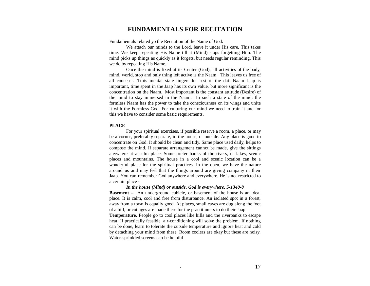# **FUNDAMENTALS FOR RECITATION**

Fundamentals related yo the Recitation of the Name of God.

We attach our minds to the Lord, leave it under His care. This takes time. We keep repeating His Name till it (Mind) stops forgetting Him. The mind picks up things as quickly as it forgets, but needs regular reminding. This we do by repeating His Name.

Once the mind is fixed at its Center (God), all activities of the body, mind, world, stop and only thing left active is the Naam. This leaves us free of all concerns. Tthis mental state lingers for rest of the dat. Naam Jaap is important, time spent in the Jaap has its own value, but more significant is the concentration on the Naam. Most important is the constant attitude (Desire) of the mind to stay immersed in the Naam. In such a state of the mind, the formless Naam has the power to take the consciousness on its wings and unite it with the Formless God. For culturing our mind we need to train it and for this we have to consider some basic requirements.

### **PLACE**

For your spiritual exercises, if possible reserve a room, a place, or may be a corner, preferably separate, in the house, or outside. Any place is good to concentrate on God. It should be clean and tidy. Same place used daily, helps to compose the mind. If separate arrangement cannot be made, give the sittings anywhere at a calm place. Some prefer banks of the rivers, or lakes, scenic places and mountains. The house in a cool and scenic location can be a wonderful place for the spiritual practices. In the open, we have the nature around us and may feel that the things around are giving company in their Jaap. You can remember God anywhere and everywhere. He is not restricted to a certain place -

 *In the house (Mind) or outside, God is everywhere. 5-1340-8*  **Basement –** An underground cubicle, or basement of the house is an ideal place. It is calm, cool and free from disturbance. An isolated spot in a forest, away from a town is equally good. At places, small caves are dug along the foot of a hill, or cottages are made there for the practitioners to do their Jaap **Temperature.** People go to cool places like hills and the riverbanks to escape heat. If practically feasible, air-conditioning will solve the problem. If nothing can be done, learn to tolerate the outside temperature and ignore heat and cold by detaching your mind from these. Room coolers are okay but these are noisy. Water-sprinkled screens can be helpful.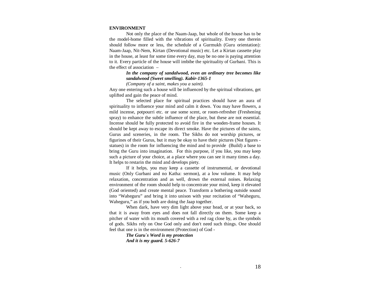### **ENVIRONMENT**

Not only the place of the Naam-Jaap, but whole of the house has to be the model-home filled with the vibrations of spirituality. Every one therein should follow more or less, the schedule of a Gurmukh (Guru orientation): Naam-Jaap, Nit-Nem, Kirtan (Devotional music) etc. Let a Kirtan cassette play in the house, at least for some time every day, may be no one is paying attention to it. Every particle of the house will imbibe the spirituality of Gurbani. This is the effect of association –

> *In the company of sandalwood, even an ordinary tree becomes like sandalwood (Sweet smelling). Kabir-1365-1*

*(Company of a saint, makes you a saint).* 

Any one entering such a house will be influenced by the spiritual vibrations, get uplifted and gain the peace of mind.

The selected place for spiritual practices should have an aura of spirituality to influence your mind and calm it down. You may have flowers, a mild incense, potpourri etc. or use some scent, or room-refresher (Freshening spray) to enhance the subtle influence of the place, but these are not essential. Incense should be fully protected to avoid fire in the wooden-frame houses. It should be kept away to escape its direct smoke. Have the pictures of the saints, Gurus and sceneries, in the room. The Sikhs do not worship pictures, or figurines of their Gurus, but it may be okay to have their pictures (Not figures statues) in the room for influencing the mind and to provide (Build) a base to bring the Guru into imagination. For this purpose, if you like, you may keep such a picture of your choice, at a place where you can see it many times a day. It helps to restarin the mind and develops piety.

If it helps, you may keep a cassette of instrumental, or devotional music (Only Gurbani and no Katha: sermon), at a low volume. It may help relaxation, concentration and as well, drown the external noises. Relaxing environment of the room should help to concentrate your mind, keep it elevated (God oriented) and create mental peace. Transform a bothering outside sound into "Waheguru" and bring it into unison with your recitation of "Waheguru, Waheguru," as if you both are doing the Jaap together.

When dark, have very dim light above your head, or at your back, so that it is away from eyes and does not fall directly on them. Some keep a pitcher of water with its mouth covered with a red rag close by, as the symbols of gods. Sikhs rely on One God only and don't need such things. One should feel that one is in the environment (Protection) of God -

> *The Guru`s Word is my protection And it is my guard. 5-626-7*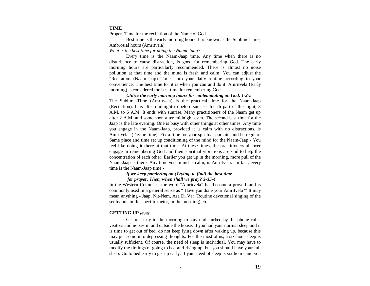### **TIME**

Proper Time for the recitation of the Name of God.

Best time is the early morning hours. It is known as the **S**ublime Time,Ambrosial hours (Amritvela).

*What is the best time for doing the Naam-Jaap?*

 Every time is the Naam-Jaap time. Any time when there is no disturbance to cause distraction, is good for remembering God. The early morning hours are particularly recommended. There is almost no noise pollution at that time and the mind is fresh and calm. You can adjust the "Recitation (Naam-Jaap) Time" into your daily routine according to your convenience. The best time for it is when you can and do it. Amritvela (Early morning) is considered the best time for remembering God –

*Utilize the early morning hours for contemplating on God. 1-2-5* The Sublime-Time (Amritvela) is the practical time for the Naam-Jaap (Recitation). It is after midnight to before sunrise: fourth part of the night, 3 A.M. to 6 A.M. It ends with sunrise. Many practitioners of the Naam get up after 2 A.M. and some soon after midnight even. The second best time for the Jaap is the late evening. One is busy with other things at other times. Any time you engage in the Naam-Jaap, provided it is calm with no distractions, is Amritvela (Divine time). Fix a time for your spiritual pursuits and be regular. Same place and time set up conditioning of the mind for the Naam-Jaap - You feel like doing it there at that time. At these times, the practitioners all over engage in remembering God and their spiritual vibrations are said to help the concentration of each other. Earlier you get up in the morning, more pull of the Naam-Jaap is there. Any time your mind is calm, is Amritvela. In fact, every time is the Naam-Jaap time -

# *If we keep pondering on (Trying to find) the best time for prayer, Then, when shall we pray? 3-35-4*

 In the Western Countries, the word "Amritvela" has become a proverb and is commonly used in a general sense as " Have you done your Amritvela?" It may mean anything - Jaap, Nit-Nem, Asa Di Var (Routine devotional singing of the set hymns in the specific meter, in the morning) etc.

### **GETTING UP**

Get up early in the morning to stay undisturbed by the phone calls, visitors and noises in and outside the house. If you had your normal sleep and it is time to get out of bed, do not keep lying down after waking up, because this may put some into depressing thoughts. For the most of us, a six-hour sleep is usually sufficient. Of course, the need of sleep is individual. You may have to modify the timings of going to bed and rising up, but you should have your full sleep. Go to bed early to get up early. If your need of sleep is six hours and you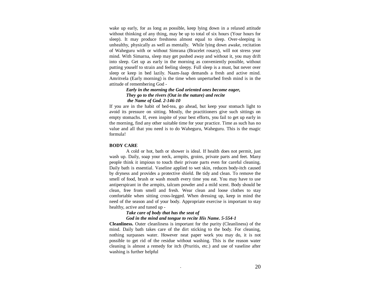wake up early, for as long as possible, keep lying down in a relaxed attitude without thinking of any thing, may be up to total of six hours (Your hours for sleep). It may produce freshness almost equal to sleep. Over-sleeping is unhealthy, physically as well as mentally. While lying down awake, recitation of Waheguru with or without Simrana (Bracelet rosary), will not stress your mind. With Simarna, sleep may get pushed away and without it, you may drift into sleep. Get up as early in the morning as conveniently possible, without putting youself to strain and feeling sleepy. Full sleep is a must, but never over sleep or keep in bed lazily. Naam-Jaap demands a fresh and active mind. Amritvela (Early morning) is the time when unperturbed fresh mind is in the attitude of remembering God -

## *Early in the morning the God oriented ones become eager, They go to the rivers (Out in the nature) and recite the Name of God. 2-146-10*

If you are in the habit of bed-tea, go ahead, but keep your stomach light to avoid its pressure on sitting. Mostly, the practitioners give such sittings on empty stomachs. If, even inspite of your best efforts, you fail to get up early in the morning, find any other suitable time for your practice. Time as such has no value and all that you need is to do Waheguru, Waheguru. This is the magic formula!

### **BODY CARE**

A cold or hot, bath or shower is ideal. If health does not permit, just wash up. Daily, soap your neck, armpits, groins, private parts and feet. Many people think it impious to touch their private parts even for careful cleaning. Daily bath is essential. Vaseline applied to wet skin, reduces body-itch caused by dryness and provides a protective shield. Be tidy and clean. To remove the smell of food, brush or wash mouth every time you eat. You may have to use antiperspirant in the armpits, talcum powder and a mild scent. Body should be clean, free from smell and fresh. Wear clean and loose clothes to stay comfortable when sitting cross-legged. When dressing up, keep in mind the need of the season and of your body. Appropriate exercise is important to stay healthy, active and tuned up -

# *Take care of body that has the seat of God in the mind and tongue to recite His Name. 5-554-1*

**Cleanliness.** Outer cleanliness is important for the purity (Cleanliness) of the mind. Daily bath takes care of the dirt sticking to the body. For cleaning, nothing surpasses water. However neat paper work you may do, it is not possible to get rid of the residue without washing. This is the reason water cleaning is almost a remedy for itch (Pruritis, etc.) and use of vaseline after washing is further helpful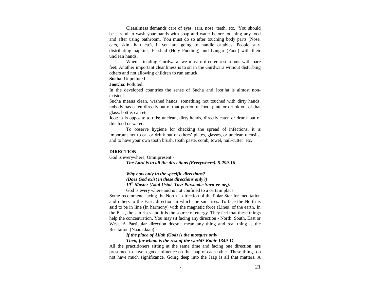Cleanliness demands care of eyes, ears, nose, teeth, etc. You should be careful to wash your hands with soap and water before touching any food and after using bathroom. You must do so after touching body parts (Nose, ears, skin, hair etc), if you are going to handle eatables. People start distributing napkins, Parshad (Holy Pudding) and Langar (Food) with their unclean hands.

When attending Gurdwara, we must not enter rest rooms with bare feet. Another important cleanliness is to sit in the Gurdwara without disturbing others and not allowing children to run amuck.

**Sucha.** Unpolluted.

**Joot:ha.** Polluted.

In the developed countries the sense of Sucha and Joot:ha is almost nonexistent.

Sucha means clean, washed hands, something not touched with dirty hands, nobody has eaten directly out of that portion of food, plate or drunk out of that glass, bottle, can etc.

Joot:ha is opposite to this: unclean, dirty hands, directly eaten or drunk out of this food or water.

 To observe hygiene for checking the spread of infections, it is important not to eat or drink out of others' plates, glasses, or unclean utensils, and to have your own tooth brush, tooth paste, comb, towel, nail-cutter etc.

#### **DIRECTION**

God is everywhere, Omnipresent -

 *The Lord is in all the directions (Everywhere). 5-299-16* 

 *Why bow only in the specific directions? (Does God exist in these directions only?) 10th Master (Akal Ustat, Tav; Parsaad.e Sava-ee-ae,).* 

God is every where and is not confined to a certain place.

Some recommend facing the North – direction of the Polar Star for meditation and others to the East: direction in which the sun rises. To face the North is said to be in line (In harmony) with the magnetic force (Lines) of the earth. In the East, the sun rises and it is the source of energy. They feel that these things help the concentration. You may sit facing any direction - North, South, East or West. A Particular direction doesn't mean any thing and real thing is the Recitation (Naam-Jaap) -

# *If the place of Allah (God) is the mosques only*

# *Then, for whom is the rest of the world? Kabir-1349-11*

All the practitioners sitting at the same time and facing one direction, are presumed to have a good influence on the Jaap of each other. These things do not have much significance. Going deep into the Jaap is all that matters. A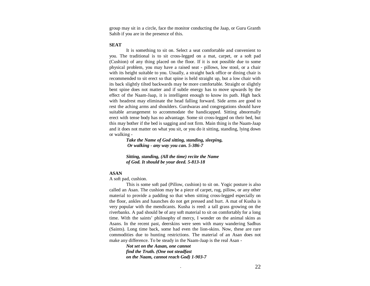group may sit in a circle, face the monitor conducting the Jaap, or Guru Granth Sahib if you are in the presence of this.

### **SEAT**

It is something to sit on. Select a seat comfortable and convenient to you. The traditional is to sit cross-legged on a mat, carpet, or a soft pad (Cushion) of any thing placed on the floor. If it is not possible due to some physical problem, you may have a raised seat - pillows, low stool, or a chair with its height suitable to you. Usually, a straight back office or dining chair is recommended to sit erect so that spine is held straight up, but a low chair with its back slightly tilted backwards may be more comfortable. Straight or slightly bent spine does not matter and if subtle energy has to move upwards by the effect of the Naam-Jaap, it is intelligent enough to know its path. High back with headrest may eliminate the head falling forward. Side arms are good to rest the aching arms and shoulders. Gurdwaras and congregations should have suitable arrangement to accommodate the handicapped. Sitting abnormally erect with tense body has no advantage. Some sit cross-legged on their bed, but this may bother if the bed is sagging and not firm. Main thing is the Naam-Jaap and it does not matter on what you sit, or you do it sitting, standing, lying down or walking -

  *Take the Name of God sitting, standing, sleeping, Or walking - any way you can. 5-386-7* 

> *Sitting, standing, (All the time) recite the Name of God. It should be your deed. 5-813-18*

### **ASAN**

A soft pad, cushion.

 This is some soft pad (Pillow, cushion) to sit on. Yogic posture is also called an Asan. The cushion may be a piece of carpet, rug, pillow, or any other material to provide a padding so that when sitting cross-legged especially on the floor, ankles and haunches do not get pressed and hurt. A mat of Kusha is very popular with the mendicants. Kusha is reed: a tall grass growing on the riverbanks. A pad should be of any soft material to sit on comfortably for a long time. With the saints' philosophy of mercy, I wonder on the animal skins as Asans. In the recent past, deerskins were seen with many wandering Sadhus (Saints). Long time back, some had even the lion-skins. Now, these are rare commodities due to hunting restrictions. The material of an Asan does not make any difference. To be steady in the Naam-Jaap is the real Asan -

> *Not set on the Aasan, one cannot find the Truth. (One not steadfast on the Naam, cannot reach God) 1-903-7*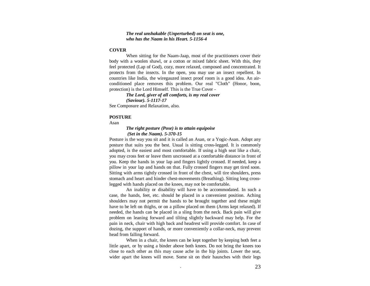### *The real unshakable (Unperturbed) on seat is one, who has the Naam in his Heart. 5-1156-4*

### **COVER**

When sitting for the Naam-Jaap, most of the practitioners cover their body with a woolen shawl, or a cotton or mixed fabric sheet. With this, they feel protected (Lap of God), cozy, more relaxed, composed and concentrated. It protects from the insects. In the open, you may use an insect repellent. In countries like India, the wiregauzed insect proof room is a good idea. An airconditioned place removes this problem. Our real "Cloth" (Honor, boon, protection) is the Lord Himself. This is the True Cover -

 *The Lord, giver of all comforts, is my real cover* 

See Composure and Relaxation, also.

### **POSTURE**

Asan

# *The right posture (Pose) is to attain equipoise (Set in the Naam). 5-370-15*

Posture is the way you sit and it is called an Asan, or a Yogic-Asan. Adopt any posture that suits you the best. Usual is sitting cross-legged. It is commonly adopted, is the easiest and most comfortable. If using a high seat like a chair, you may cross feet or leave them uncrossed at a comfortable distance in front of you. Keep the hands in your lap and fingers lightly crossed. If needed, keep a pillow in your lap and hands on that. Fully crossed fingers may get tired soon. Sitting with arms tightly crossed in front of the chest, will tire shoulders, press stomach and heart and hinder chest-movements (Breathing). Sitting long crosslegged with hands placed on the knees, may not be comfortable.

An inability or disability will have to be accommodated. In such a case, the hands, feet, etc. should be placed in a convenient position. Aching shoulders may not permit the hands to be brought together and these might have to be left on thighs, or on a pillow placed on them (Arms kept relaxed). If needed, the hands can be placed in a sling from the neck. Back pain will give problem on leaning forward and tilting slightly backward may help. For the pain in neck, chair with high back and headrest will provide comfort. In case of dozing, the support of hands, or more conveniently a collar-neck, may prevent head from falling forward.

When in a chair, the knees can be kept together by keeping both feet a little apart, or by using a binder above both knees. Do not bring the knees too close to each other as this may cause ache in the hip joints. Lower the seat, wider apart the knees will move. Some sit on their haunches with their legs

*<sup>(</sup>Saviour). 5-1117-17*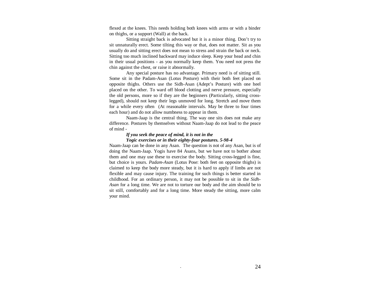flexed at the knees. This needs holding both knees with arms or with a binder on thighs, or a support (Wall) at the back.

Sitting straight back is advocated but it is a minor thing. Don't try to sit unnaturally erect. Some tilting this way or that, does not matter. Sit as you usually do and sitting erect does not mean to stress and strain the back or neck. Sitting too much inclined backward may induce sleep. Keep your head and chin in their usual positions - as you normally keep them. You need not press the chin against the chest, or raise it abnormally.

Any special posture has no advantage. Primary need is of sitting still. Some sit in the Padam-Asan (Lotus Posture) with their both feet placed on opposite thighs. Others use the Sidh-Asan (Adept's Posture) with one heel placed on the other. To ward off blood clotting and nerve pressure, especially the old persons, more so if they are the beginners (Particularly, sitting crosslegged), should not keep their legs unmoved for long. Stretch and move them for a while every often (At reasonable intervals. May be three to four times each hour) and do not allow numbness to appear in them.

Naam-Jaap is the central thing. The way one sits does not make any difference. Postures by themselves without Naam-Jaap do not lead to the peace of mind -

# *If you seek the peace of mind, it is not in the Yogic exercises or in their eighty-four postures. 5-98-4*

 Naam-Jaap can be done in any Asan. The question is not of any Asan, but is of doing the Naam-Jaap. Yogis have 84 Asans, but we have not to bother about them and one may use these to exercise the body. Sitting cross-legged is fine, but choice is yours. *Padam-Asan* (Lotus Pose: both feet on opposite thighs) is claimed to keep the body more steady, but it is hard to apply if limbs are not flexible and may cause injury. The training for such things is better started in childhood. For an ordinary person, it may not be possible to sit in the *Sidh-Asan* for a long time. We are not to torture our body and the aim should be to sit still, comfortably and for a long time. More steady the sitting, more calm your mind.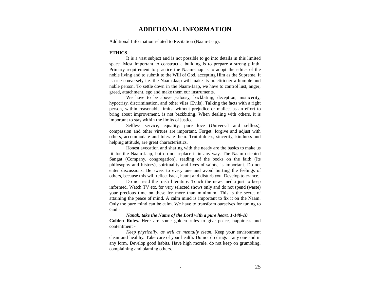# **ADDITIONAL INFORMATION**

Additional Information related to Recitation (Naam-Jaap).

### **ETHICS**

It is a vast subject and is not possible to go into details in this limited space. Most important to construct a building is to prepare a strong plinth. Primary requirement to practice the Naam-Jaap is to adopt the ethics of the noble living and to submit to the Will of God, accepting Him as the Supreme. It is true conversely i.e. the Naam-Jaap will make its practitioner a humble and noble person. To settle down in the Naam-Jaap, we have to control lust, anger, greed, attachment, ego and make them our instruments.

We have to be above jealousy, backbiting, deception, insincerity, hypocrisy, discrimination, and other viles (Evils). Talking the facts with a right person, within reasonable limits, without prejudice or malice, as an effort to bring about improvement, is not backbiting. When dealing with others, it is important to stay within the limits of justice.

Selfless service, equality, pure love (Universal and selfless), compassion and other virtues are important. Forget, forgive and adjust with others, accommodate and tolerate them. Truthfulness, sincerity, kindness and helping attitude, are great characteristics.

Honest avocation and sharing with the needy are the basics to make us fit for the Naam-Jaap, but do not replace it in any way. The Naam oriented Sangat (Company, congregation), reading of the books on the faith (Its philosophy and history), spirituality and lives of saints, is important. Do not enter discussions. Be sweet to every one and avoid hurting the feelings of others, because this will reflect back, haunt and disturb you. Develop tolerance.

Do not read the trash literature. Touch the news media just to keep informed. Watch TV etc. for very selected shows only and do not spend (waste) your precious time on these for more than minimum. This is the secret of attaining the peace of mind. A calm mind is important to fix it on the Naam. Only the pure mind can be calm. We have to transform ourselves for tuning to God -

 *Nanak, take the Name of the Lord with a pure heart. 1-140-10* **Golden Rules.** Here are some golden rules to give peace, happiness and contentment -

*Keep physically, as well as mentally clean.* Keep your environment clean and healthy. Take care of your health. Do not do drugs – any one and in any form. Develop good habits. Have high morale, do not keep on grumbling, complaining and blaming others.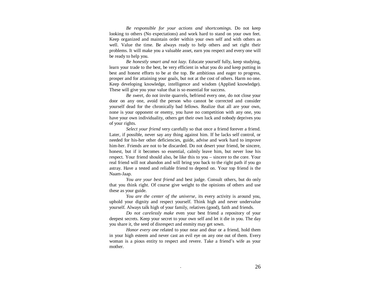*Be responsible for your actions and shortcomings*. Do not keep looking to others (No expectations) and work hard to stand on your own feet. Keep organized and maintain order within your own self and with others as well. Value the time. Be always ready to help others and set right their problems. It will make you a valuable asset, earn you respect and every one will be ready to help you.

*Be honestly smart and not lazy.* Educate yourself fully, keep studying, learn your trade to the best, be very efficient in what you do and keep putting in best and honest efforts to be at the top. Be ambitious and eager to progress, prosper and for attaining your goals, but not at the cost of others. Harm no one. Keep developing knowledge, intelligence and wisdom (Applied knowledge). These will give you your value that is so essential for success.

*Be sweet,* do not invite quarrels, befriend every one, do not close your door on any one, avoid the person who cannot be corrected and consider yourself dead for the chronically bad fellows. Realize that all are your own, none is your opponent or enemy, you have no competition with any one, you have your own individuality, others get their own luck and nobody deprives you of your rights.

*Select your friend* very carefully so that once a friend forever a friend. Later, if possible, never say any thing against him. If he lacks self control, or needed for his-her other deficiencies, guide, advise and work hard to improve him-her. Friends are not to be discarded. Do not desert your friend, be sincere, honest, but if it becomes so essential, calmly leave him, but never lose his respect. Your friend should also, be like this to you – sincere to the core. Your real friend will not abandon and will bring you back to the right path if you go astray. Have a tested and reliable friend to depend on. Your top friend is the Naam-Jaap.

*You are your best friend* and best judge. Consult others, but do only that you think right. Of course give weight to the opinions of others and use these as your guide.

*You are the center of the universe,* its every activity is around you, uphold your dignity and respect yourself. Think high and never undervalue yourself. Always talk high of your family, relatives (good), faith and friends.

*Do not carelessly make* even your best friend a repository of your deepest secrets. Keep your secret to your own self and let it die in you. The day you share it, the seed of disrespect and enmity may get sown.

*Honor every one* related to your near and dear or a friend, hold them in your high esteem and never cast an evil eye on any one out of them. Every woman is a pious entity to respect and revere. Take a friend's wife as your mother.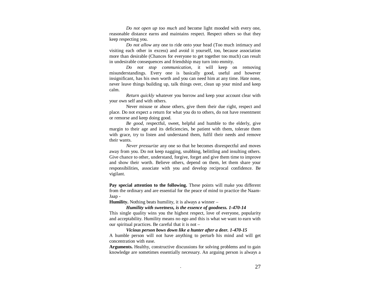*Do not open up too much* and become light mooded with every one, reasonable distance earns and maintains respect. Respect others so that they keep respecting you.

*Do not allow* any one to ride onto your head (Too much intimacy and visiting each other in excess) and avoid it yourself, too, because association more than desirable (Chances for everyone to get together too much) can result in undesirable consequences and friendship may turn into enmity.

*Do not stop communication,* it will keep on removing misunderstandings. Every one is basically good, useful and however insignificant, has his own worth and you can need him at any time. Hate none, never leave things building up, talk things over, clean up your mind and keep calm.

*Return quickly* whatever you borrow and keep your account clear with your own self and with others.

Never misuse or abuse others, give them their due right, respect and place. Do not expect a return for what you do to others, do not have resentment or remorse and keep doing good.

*Be good,* respectful, sweet, helpful and humble to the elderly, give margin to their age and its deficiencies, be patient with them, tolerate them with grace, try to listen and understand them, fulfil their needs and remove their wants.

*Never pressurize* any one so that he becomes disrespectful and moves away from you. Do not keep nagging, snubbing, belittling and insulting others. Give chance to other, understand, forgive, forget and give them time to improve and show their worth. Believe others, depend on them, let them share your responsibilities, associate with you and develop reciprocal confidence. Be vigilant.

Pay special attention to the following. These points will make you different from the ordinary and are essential for the peace of mind to practice the Naam-Jaap -

**Humility.** Nothing beats humility, it is always a winner –

*Humility with sweetness, is the essence of goodness. 1-470-14* 

This single quality wins you the highest respect, love of everyone, popularity and acceptability. Humility means no ego and this is what we want to earn with our spiritual practices. Be careful that it is not –

  *Vicious person bows down like a hunter after a deer. 1-470-15* A humble person will not have anything to perturb his mind and will get concentration with ease.

**Arguments.** Healthy, constructive discussions for solving problems and to gain knowledge are sometimes essentially necessary. An arguing person is always a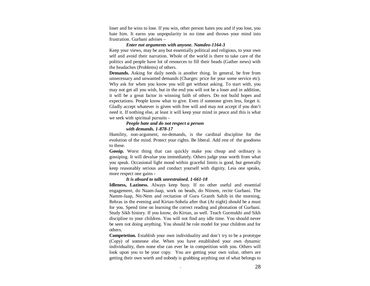loser and he wins to lose. If you win, other person hates you and if you lose, you hate him. It earns you unpopularity in no time and throws your mind into frustration. Gurbani advises –

### *Enter not arguments with anyone. Namdeo-1164-3*

Keep your views, may be any but essentially political and religious, to your own self and avoid their narration. Whole of the world is there to take care of the politics and people have lot of resources to fill their heads (Gather news) with the headaches (Problems) of others.

**Demands.** Asking for daily needs is another thing. In general, be free from unnecessary and unwanted demands (Charges: price for your some service etc). Why ask for when you know you will get without asking. To start with, you may not get all you wish, but in the end you will not be a loser and in addition, it will be a great factor in winning faith of others. Do not build hopes and expectations. People know what to give. Even if someone gives less, forget it. Gladly accept whatever is given with free will and may not accept if you don't need it. If nothing else, at least it will keep your mind in peace and this is what we seek with spiritual pursuits -

### *People hate and do not respect a person with demands. 1-878-17*

 Humility, non-argument, no-demands, is the cardinal discipline for the evolution of the mind. Protect your rights. Be liberal. Add rest of the goodness to these.

**Gossip.** Worst thing that can quickly make you cheap and ordinary is gossiping. It will devalue you immediately. Others judge your worth from what you speak. Occasional light mood within graceful limits is good, but generally keep reasonably serious and conduct yourself with dignity. Less one speaks, more respect one gains -

### *It is absurd to talk unrestrained. 1-661-18*

 **Idleness, Laziness.** Always keep busy. If no other useful and essential engagement, do Naam-Jaap, work on beads, do Nitnem, recite Gurbani. The Namm-Jaap, Nit-Nem and recitation of Guru Granth Sahib in the morning, Rehras in the evening and Kirtan-Sohela after that (At night) should be a must for you. Spend time on learning the correct reading and phonation of Gurbani. Study Sikh history. If you know, do Kirtan, as well. Teach Gurmukhi and Sikh discipline to your children. You will not find any idle time. You should never be seen not doing anything. You should be role model for your children and for others.

**Competetion.** Establish your own individuality and don't try to be a prototype (Copy) of someone else. When you have established your own dynamic individuality, then none else can ever be in competition with you. Others will look upon you to be your copy. You are getting your own value, others are getting their own worth and nobody is grabbing anything out of what belongs to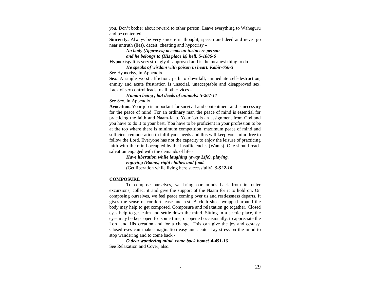you. Don't bother about reward to other person. Leave everything to Waheguru and be contented.

**Sincerity.** Always be very sincere in thought, speech and deed and never go near untruth (lies), deceit, cheating and hypocrisy –

> *No body (Approves) accepts an insincere person and he belongs to (His place is) hell. 5-1086-6*

**Hypocrisy.** It is very strongly disapproved and is the meanest thing to do –

*He speaks of wisdom with poison in heart. Kabir-656-3* 

See Hypocrisy, in Appendix.

**Sex.** A single worst affliction; path to downfall, immediate self-destruction, enmity and acute frustration is unsocial, unacceptable and disapproved sex. Lack of sex control leads to all other vices -

 *Human being , but deeds of animals! 5-267-11* 

See Sex, in Appendix.

**Avocation.** Your job is important for survival and contentment and is necessary for the peace of mind. For an ordinary man the peace of mind is essential for practicing the faith and Naam-Jaap. Your job is an assignment from God and you have to do it to your best. You have to be proficient in your profession to be at the top where there is minimum competition, maximum peace of mind and sufficient remuneration to fulfil your needs and this will keep your mind free to follow the Lord. Everyone has not the capacity to enjoy the leisure of practicing faith with the mind occupied by the insufficiencies (Wants). One should reach salvation engaged with the demands of life -

> *Have liberation while laughing (away Life), playing, enjoying (Boons) right clothes and food.* (Get liberation while living here successfully). *5-522-10*

### **COMPOSURE**

 To compose ourselves, we bring our minds back from its outer excursions, collect it and give the support of the Naam for it to hold on. On composing ourselves, we feel peace coming over us and restlessness departs. It gives the sense of comfort, ease and rest. A cloth sheet wrapped around the body may help to get composed. Composure and relaxation go together. Closed eyes help to get calm and settle down the mind. Sitting in a scenic place, the eyes may be kept open for some time, or opened occasionally, to appreciate the Lord and His creation and for a change. This can give the joy and ecstasy. Closed eyes can make imagination easy and acute. Lay stress on the mind to stop wandering and to come back -

 *O dear wandering mind, come back home! 4-451-16* See Relaxation and Cover, also.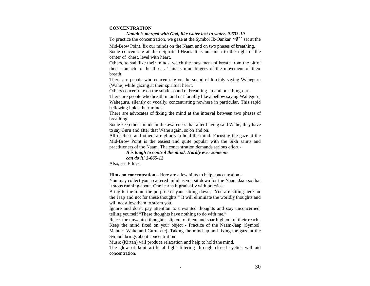### **CONCENTRATION**

 *Nanak is merged with God, like water lost in water. 9-633-19* 

To practice the concentration, we gaze at the Symbol Ik-Oankar  $\mathcal{A}$  set at the

Mid-Brow Point, fix our minds on the Naam and on two phases of breathing. Some concentrate at their Spiritual-Heart. It is one inch to the right of the center of chest, level with heart.

Others, to stabilize their minds, watch the movement of breath from the pit of their stomach to the throat. This is nine fingers of the movement of their breath.

There are people who concentrate on the sound of forcibly saying Waheguru (Wahe) while gazing at their spiritual heart.

Others concentrate on the subtle sound of breathing–in and breathing-out.

There are people who breath in and out forcibly like a bellow saying Waheguru, Waheguru, silently or vocally, concentrating nowhere in particular. This rapid bellowing holds their minds.

There are advocates of fixing the mind at the interval between two phases of breathing.

Some keep their minds in the awareness that after having said Wahe, they have to say Guru and after that Wahe again, so on and on.

All of these and others are efforts to hold the mind. Focusing the gaze at the Mid-Brow Point is the easiest and quite popular with the Sikh saints and practitioners of the Naam. The concentration demands serious effort -

*It is tough to control the mind. Hardly ever someone can do it! 3-665-12* Also, see Ethics.

**Hints on concentration –** Here are a few hints to help concentration -

You may collect your scattered mind as you sit down for the Naam-Jaap so that it stops running about. One learns it gradually with practice.

Bring to the mind the purpose of your sitting down, "You are sitting here for the Jaap and not for these thoughts." It will eliminate the worldly thoughts and will not allow them to storm you.

Ignore and don't pay attention to unwanted thoughts and stay unconcerned, telling yourself "These thoughts have nothing to do with me."

Reject the unwanted thoughts, slip out of them and soar high out of their reach. Keep the mind fixed on your object - Practice of the Naam-Jaap (Symbol, Mantar: Wahe and Guru, etc). Taking the mind up and fixing the gaze at the Symbol brings about concentration.

Music (Kirtan) will produce relaxation and help to hold the mind.

The glow of faint artificial light filtering through closed eyelids will aid concentration.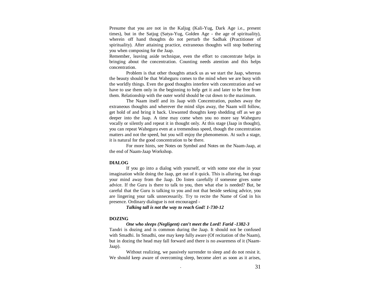Presume that you are not in the Kaljug (Kali-Yug, Dark Age i.e., present times), but in the Satjug (Satya-Yug, Golden Age - the age of spirituality), wherein off hand thoughts do not perturb the Sadhak (Practitioner of spirituality). After attaining practice, extraneous thoughts will stop bothering you when composing for the Jaap.

Remember, leaving aside technique, even the effort to concentrate helps in bringing about the concentration. Counting needs atention and this helps concentration.

Problem is that other thoughts attack us as we start the Jaap, whereas the beauty should be that Waheguru comes to the mind when we are busy with the worldly things. Even the good thoughts interfere with concentration and we have to use them only in the beginning to help get it and later to be free from them. Relationship with the outer world should be cut down to the maximum.

The Naam itself and its Jaap with Concentration, pushes away the extraneous thoughts and wherever the mind slips away, the Naam will follow, get hold of and bring it back. Unwanted thoughts keep shedding off as we go deeper into the Jaap. A time may come when you no more say Waheguru vocally or silently and repeat it in thought only. At this stage (Jaap in thought), you can repeat Waheguru even at a tremendous speed, though the concentration matters and not the speed, but you will enjoy the phenomenon. At such a stage, it is natural for the good concentration to be there.

For more hints, see Notes on Symbol and Notes on the Naam-Jaap, at the end of Naam-Jaap Workshop.

### **DIALOG**

If you go into a dialog with yourself, or with some one else in your imagination while doing the Jaap, get out of it quick. This is alluring, but drags your mind away from the Jaap. Do listen carefully if someone gives some advice. If the Guru is there to talk to you, then what else is needed? But, be careful that the Guru is talking to you and not that beside seeking advice, you are lingering your talk unnecessarily. Try to recite the Name of God in his presence. Ordinary dialogue is not encouraged -

 *Talking tall is not the way to reach God! 1-730-12* 

### **DOZING**

 *One who sleeps (Negligent) can't meet the Lord! Farid -1382-3* 

 Tandri is dozing and is common during the Jaap. It should not be confused with Smadhi. In Smadhi, one may keep fully aware (Of recitation of the Naam), but in dozing the head may fall forward and there is no awareness of it (Naam-Jaap).

Without realizing, we passively surrender to sleep and do not resist it. We should keep aware of overcoming sleep, become alert as soon as it arises,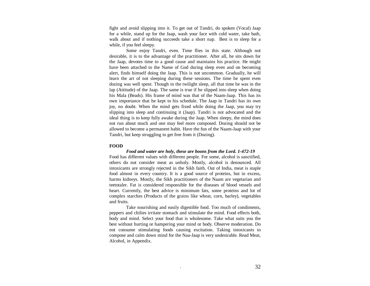fight and avoid slipping into it. To get out of Tandri, do spoken (Vocal) Jaap for a while, stand up for the Jaap, wash your face with cold water, take bath, walk about and if nothing succeeds take a short nap. Best is to sleep for a while, if you feel sleepy.

Some enjoy Tandri, even. Time flies in this state. Although not desirable, it is to the advantage of the practitioner. After all, he sits down for the Jaap, devotes time to a good cause and maintains his practice. He might have been attached to the Name of God during sleep even and on becoming alert, finds himself doing the Jaap. This is not uncommon. Gradually, he will learn the art of not sleeping during these sessions. The time he spent even dozing was well spent. Though in the twilight sleep, all that time he was in the lap (Attitude) of the Jaap. The same is true if he slipped into sleep when doing his Mala (Beads). His frame of mind was that of the Naam-Jaap. This has its own importance that he kept to his schedule. The Jaap in Tandri has its own joy, no doubt. When the mind gets fixed while doing the Jaap, you may try slipping into sleep and continuing it (Jaap). Tandri is not advocated and the ideal thing is to keep fully awake during the Jaap. When sleepy, the mind does not run about much and one may feel more composed. Dozing should not be allowed to become a permanent habit. Have the fun of the Naam-Jaap with your Tandri, but keep struggling to get free from it (Dozing).

### **FOOD**

### *Food and water are holy, these are boons from the Lord. 1-472-19*

 Food has different values with different people. For some, alcohol is sanctified, others do not consider meat as unholy. Mostly, alcohol is denounced. All intoxicants are strongly rejected in the Sikh faith. Out of India, meat is staple food almost in every country. It is a good source of proteins, but in excess, harms kidneys. Mostly, the Sikh practitioners of the Naam are vegetarian and teetotaler. Fat is considered responsible for the diseases of blood vessels and heart. Currently, the best advice is minimum fats, some proteins and lot of complex starches (Products of the grains like wheat, corn, barley), vegetables and fruits.

 Take nourishing and easily digestible food. Too much of condiments, peppers and chilies irritate stomach and stimulate the mind. Food effects both, body and mind. Select your food that is wholesome. Take what suits you the best without hurting or hampering your mind or body. Observe moderation. Do not consume stimulating foods causing excitation. Taking intoxicants to compose and calm down mind for the Naa-Jaap is very undesirable. Read Meat, Alcohol, in Appendix.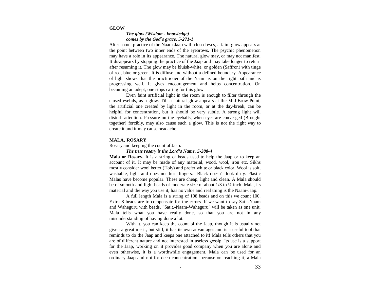#### **GLOW**

### *The glow (Wisdom - knowledge) comes by the God`s grace. 5-271-1*

After some practice of the Naam-Jaap with closed eyes, a faint glow appears at the point between two inner ends of the eyebrows. The psychic phenomenon may have a role in its appearance. The natural glow may, or may not manifest. It disappears by stopping the practice of the Jaap and may take longer to return after resuming it. The glow may be bluish-white, or golden (Saffron) with tinge of red, blue or green. It is diffuse and without a defined boundary. Appearance of light shows that the practitioner of the Naam is on the right path and is progressing well. It gives encouragement and helps concentration. On becoming an adept, one stops caring for this glow.

Even faint artificial light in the room is enough to filter through the closed eyelids, as a glow. Till a natural glow appears at the Mid-Brow Point, the artificial one created by light in the room, or at the day-break, can be helpful for concentration, but it should be very subtle. A strong light will disturb attention. Pressure on the eyeballs, when eyes are converged (Brought together) forcibly, may also cause such a glow. This is not the right way to create it and it may cause headache.

#### **MALA,ROSARY**

Rosary and keeping the count of Jaap.

#### *The true rosary is the Lord's Name. 5-388-4*

**Mala or Rosary.** It is a string of beads used to help the Jaap or to keep an account of it. It may be made of any material, wood, wool, iron etc. Sikhs mostly consider wool better (Holy) and prefer white or black color. Wool is soft, washable, light and does not hurt fingers. Black doesn't look dirty. Plastic Malas have become popular. These are cheap, light and clean. A Mala should be of smooth and light beads of moderate size of about  $1/3$  to  $\frac{1}{4}$  inch. Mala, its material and the way you use it, has no value and real thing is the Naam-Jaap.

A full length Mala is a string of 108 beads and on this we count 100. Extra 8 beads are to compensate for the errors. If we want to say Sat.t-Naam and Waheguru with beads, "Sat.t.-Naam-Waheguru" will be taken as one unit. Mala tells what you have really done, so that you are not in any misunderstanding of having done a lot.

With it, you can keep the count of the Jaap, though it is usually not given a great merit, but still, it has its own advantages and is a useful tool that reminds to do the Jaap and keeps one attached to it! Mala tells others that you are of different nature and not interested in useless gossip. Its use is a support for the Jaap, working on it provides good company when you are alone and even otherwise, it is a worthwhile engagement. Mala can be used for an ordinary Jaap and not for deep concentration, because on reaching it, a Mala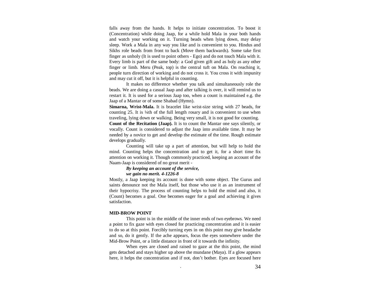falls away from the hands. It helps to initiate concentration. To boost it (Concentration) while doing Jaap, for a while hold Mala in your both hands and watch your working on it. Turning beads when lying down, may delay sleep. Work a Mala in any way you like and is convenient to you. Hindus and Sikhs role beads from front to back (Move them backwards). Some take first finger as unholy (It is used to point others - Ego) and do not touch Mala with it. Every limb is part of the same body: a God given gift and as holy as any other finger or limb. Meru (Peak, top) is the central tuft on Mala. On reaching it, people turn direction of working and do not cross it. You cross it with impunity and may cut it off, but it is helpful in counting.

It makes no difference whether you talk and simultaneously role the beads. We are doing a casual Jaap and after talking is over, it will remind us to restart it. It is used for a serious Jaap too, when a count is maintained e.g. the Jaap of a Mantar or of some Shabad (Hymn).

**Simarna, Wrist-Mala.** It is bracelet like wrist-size string with 27 beads, for counting 25. It is ¼th of the full length rosary and is convenient to use when traveling, lying down or walking. Being very small, it is not good for counting. **Count of the Recitation (Jaap).** It is to count the Mantar one says silently, or vocally. Count is considered to adjust the Jaap into available time. It may be needed by a novice to get and develop the estimate of the time. Rough estimate develops gradually.

Counting will take up a part of attention, but will help to hold the mind. Counting helps the concentration and to get it, for a short time fix attention on working it. Though commonly practiced, keeping an account of the Naam-Jaap is considered of no great merit -

# *By keeping an account of the service,*

### *we gain no merit. 4-1226-8*

Mostly, a Jaap keeping its account is done with some object. The Gurus and saints denounce not the Mala itself, but those who use it as an instrument of their hypocrisy. The process of counting helps to hold the mind and also, it (Count) becomes a goal. One becomes eager for a goal and achieving it gives satisfaction.

### **MID-BROW POINT**

 This point is in the middle of the inner ends of two eyebrows. We need a point to fix gaze with eyes closed for practicing concentration and it is easier to do so at this point. Forcibly turning eyes in on this point may give headache and so, do it gently. If the ache appears, focus the eyes somewhere under the Mid-Brow Point, or a little distance in front of it towards the infinity.

When eyes are closed and raised to gaze at the this point, the mind gets detached and stays higher up above the mundane (Maya). If a glow appears here, it helps the concentration and if not, don't bother. Eyes are focused here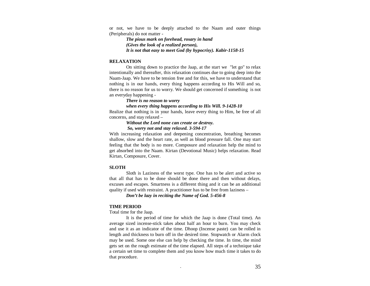or not, we have to be deeply attached to the Naam and outer things (Peripherals) do not matter -

 *The pious mark on forehead, rosary in hand (Gives the look of a realized person), It is not that easy to meet God (by hypocrisy). Kabir-1158-15* 

### **RELAXATION**

On sitting down to practice the Jaap, at the start we "let go" to relax intentionally and thereafter, this relaxation continues due to going deep into the Naam-Jaap. We have to be tension free and for this, we have to understand that nothing is in our hands, every thing happens according to His Will and so, there is no reason for us to worry. We should get concerned if something is not an everyday happening -

### *There is no reason to worry*

#### *when every thing happens according to His Will. 9-1428-10*

Realize that nothing is in your hands, leave every thing to Him, be free of all concerns, and stay relaxed –

# *Without the Lord none can create or destroy.*

### *So, worry not and stay relaxed. 3-594-17*

With increasing relaxation and deepening concentration, breathing becomes shallow, slow and the heart rate, as well as blood pressure fall. One may start feeling that the body is no more. Composure and relaxation help the mind to get absorbed into the Naam. Kirtan (Devotional Music) helps relaxation. Read Kirtan, Composure, Cover.

### **SLOTH**

Sloth is Laziness of the worst type. One has to be alert and active so that all that has to be done should be done there and then without delays, excuses and escapes. Smartness is a different thing and it can be an additional quality if used with restraint. A practitioner has to be free from laziness –

 *Don't be lazy in reciting the Name of God. 5-456-8* 

### **TIME PERIOD**

Total time for the Jaap.

It is the period of time for which the Jaap is done (Total time). An average sized incense-stick takes about half an hour to burn. You may check and use it as an indicator of the time. Dhoop (Incense paste) can be rolled in length and thickness to burn off in the desired time. Stopwatch or Alarm clock may be used. Some one else can help by checking the time. In time, the mind gets set on the rough estimate of the time elapsed. All steps of a technique take a certain set time to complete them and you know how much time it takes to do that procedure.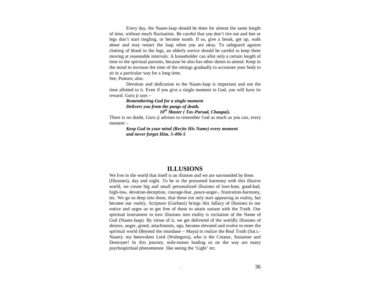Every day, the Naam-Jaap should be done for almost the same length of time, without much fluctuation. Be careful that you don't tire out and feet or legs don't start tingling, or become numb. If so, give a break, get up, walk about and may restart the Jaap when you are okay. To safeguard against clotting of blood in the legs, an elderly novice should be careful to keep them moving at reasonable intervals. A householder can allot only a certain length of time to the spiritual pursuits, because he also has other duties to attend. Keep in the mind to increase the time of the sittings gradually to accustom your body to sit in a particular way for a long time.

See, Posture, also.

Devotion and dedication to the Naam-Jaap is important and not the time allotted to it. Even if you give a single moment to God, you will have its reward. Guru ji says –

  *Remembering God for a single moment Delivers you from the pangs of death. 10th Master ( Tav-Parsad, Chaupai).* 

There is no doubt, Guru ji advises to remember God as much as you can, every moment –

> *Keep God in your mind (Recite His Name) every moment and never forget Him. 5-496-5*

# **ILLUSIONS**

We live in the world that itself is an illusion and we are surrounded by them (Illusions), day and night. To be in the presumed harmony with this illusive world, we create big and small personalized illusions of love-hate, good-bad, high-low, devotion-deception, courage-fear, peace-anger-, frustration-harmony, etc. We go so deep into these, that these not only start appearing as reality, but become our reality. Scripture (Gurbani) brings this fallacy of illusions to our notice and urges us to get free of these to attain unison with the Truth. Our spiritual instrument to turn illusions into reality is recitation of the Name of God (Naam-Jaap). By virtue of it, we get delivered of the worldly illusions of desires, anger, greed, attachments, ego, become elevated and evolve to enter the spiritual world (Beyond the mundane – Maya) to realize the Real Truth (Sat.t.- Naam): my benevolent Lord (Waheguru), who is the Creator, Sustainer and Destroyer! In this journey, mile-stones leading us on the way are many psychospiritual phenomenon like seeing the 'Light' etc.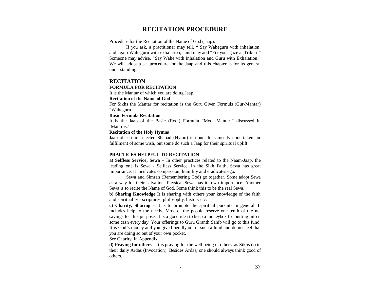# **RECITATION PROCEDURE**

Procedure for the Recitation of the Name of God (Jaap).

 If you ask, a practitioner may tell, " Say Waheguru with inhalation, and again Waheguru with exhalation," and may add "Fix your gaze at Trikuti." Someone may advise, "Say Wahe with inhalation and Guru with Exhalation." We will adopt a set procedure for the Jaap and this chapter is for its general understanding.

### **RECITATION**

### **FORMULA FOR RECITATION**

It is the Mantar of which you are doing Jaap.

### **Recitation of the Name of God**

For Sikhs the Mantar for recitation is the Guru Given Formuls (Gur-Mantar) "Waheguru."

#### **Basic Formula Recitation**

It is the Jaap of the Basic (Root) Formula "Mool Mantar," discussed in 'Mantras.'

# **Recitation of the Holy Hymns**

Jaap of certain selected Shabad (Hymn) is done. It is mostly undertaken for fulfilment of some wish, but some do such a Jaap for their spiritual uplift.

### **PRACTICES HELPFUL TO RECITATION**

**a) Selfless Service, Sewa** – In other practices related to the Naam-Jaap, the leading one is Sewa - Selfless Service. In the Sikh Faith, Sewa has great importance. It inculcates compassion, humility and eradicates ego.

Sewa and Simran (Remembering God) go together. Some adopt Sewa as a way for their salvation. Physical Sewa has its own importance. Another Sewa is to recite the Name of God. Some think this to be the real Sewa.

**b) Sharing Knowledge** It is sharing with others your knowledge of the faith and spirituality - scriptures, philosophy, history etc.

**c) Charity, Sharing –** It is to promote the spiritual pursuits in general. It includes help to the needy. Most of the people reserve one tenth of the net savings for this purpose. It is a good idea to keep a moneybox for putting into it some cash every day. Your offerings to Guru Granth Sahib will go to this fund. It is God`s money and you give liberally out of such a fund and do not feel that you are doing so out of your own pocket.

See Charity, in Appendix.

**d) Praying for others –** It is praying for the well being of others, as Sikhs do in their daily Ardas (Invocation). Besides Ardas, one should always think good of others.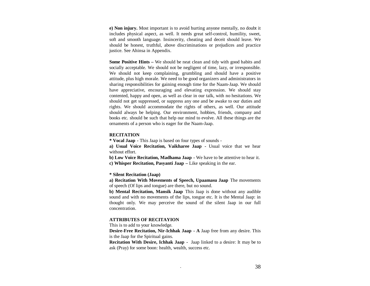**e) Non injury.** Most important is to avoid hurting anyone mentally, no doubt it includes physical aspect, as well. It needs great self-control, humility, sweet, soft and smooth language. Insincerity, cheating and deceit should leave. We should be honest, truthful, above discriminations or prejudices and practice justice. See Ahinsa in Appendix.

**Some Positive Hints –** We should be neat clean and tidy with good habits and socially acceptable. We should not be negligent of time, lazy, or irresponsible. We should not keep complaining, grumbling and should have a positive attitude, plus high morale. We need to be good organizers and administrators in sharing responsibilities for gaining enough time for the Naam-Jaap. We should have appreciative, encouraging and elevating expression. We should stay contented, happy and open, as well as clear in our talk, with no hesitations. We should not get suppressed, or suppress any one and be awake to our duties and rights. We should accommodate the rights of others, as well. Our attitude should always be helping. Our environment, hobbies, friends, company and books etc. should be such that help our mind to evolve. All these things are the ornaments of a person who is eager for the Naam-Jaap.

### **RECITATION**

**\* Vocal Jaap-** This Jaap is based on four types of sounds -

**a) Usual Voice Recitation, Vaikharee Jaap -** Usual voice that we hear without effort.

**b) Low Voice Recitation, Madhama Jaap-** We have to be attentive to hear it. **c) Whisper Recitation, Pasyanti Jaap–** Like speaking in the ear.

**\* Silent Recitation (Jaap)**

 **a) Recitation With Movements of Speech, Upaamasu Jaap**The movements of speech (Of lips and tongue) are there, but no sound.

**b) Mental Recitation, Mansik Jaap** This Jaap is done without any audible sound and with no movements of the lips, tongue etc. It is the Mental Jaap: in thought only. We may perceive the sound of the silent Jaap in our full concentration.

### **ATTRIBUTES OF RECITAYION**

This is to add to your knowledge.

**Desire-Free Recitation, Nir-Ichhak Jaap- A** Jaap free from any desire. This is the Jaap for the Spiritual gains.

**Recitation With Desire, Ichhak Jaap-** Jaap linked to a desire: It may be to ask (Pray) for some boon: health, wealth, success etc.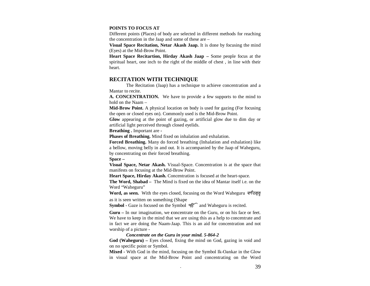### **POINTS TO FOCUS AT**

 Different points (Places) of body are selected in different methods for reaching the concentration in the Jaap and some of these are –

**Visual Space Recitation, Netar Akash Jaap.** It is done by focusing the mind (Eyes) at the Mid-Brow Point.

**Heart Space Recitartion, Hirday Akash Jaap –** Some people focus at the spiritual heart, one inch to the right of the middle of chest , in line with their heart.

# **RECITATION WITH TECHNIQUE**

 The Recitation (Jaap) has a technique to achieve concentration and a Mantar to recite.

**A. CONCENTRATION.** We have to provide a few supports to the mind to hold on the Naam –

**Mid-Brow Point.** A physical location on body is used for gazing (For focusing the open or closed eyes on). Commonly used is the Mid-Brow Point.

**Glow** appearing at the point of gazing, or artificial glow due to dim day or artificial light perceived through closed eyelids.

**Breathing .** Important are **-** 

**Phases of Breathing.** Mind fixed on inhalation and exhalation.

**Forced Breathing.** Many do forced breathing (Inhalation and exhalation) like a bellow, moving belly in and out. It is accompanied by the Jaap of Waheguru, by concentrating on their forced breathing.

**Space –** 

**Visual Space, Netar Akash.** Visual-Space. Concentration is at the space that manifests on focusing at the Mid-Brow Point.

**Heart Space, Hirday Akash.** Concentration is focused at the heart-space.

 **The Word, Shabad –** The Mind is fixed on the idea of Mantar itself i.e. on the Word "Waheguru"

**Word, as seen.** With the eyes closed, focusing on the Word Waheguru as it is seen written on something (Shape

Symbol - Gaze is focused on the Symbol *१६* and Waheguru is recited.

**Guru –** In our imagination, we **c**oncentrate on the Guru, or on his face or feet. We have to keep in the mind that we are using this as a help to concentrate and in fact we are doing the Naam-Jaap. This is an aid for concentration and not worship of a picture -

### *Concentrate on the Guru in your mind. 5-864-2*

**God (Waheguru) –** Eyes closed, fixing the mind on God, gazing in void and on no specific point or Symbol.

**Mixed -** With God in the mind, focusing on the Symbol Ik-Oankar in the Glow in visual space at the Mid-Brow Point and concentrating on the Word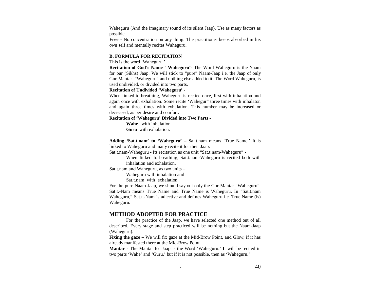Waheguru (And the imaginary sound of its silent Jaap). Use as many factors as possible.

**Free -** No concentration on any thing. The practitioner keeps absorbed in his own self and mentally recites Waheguru.

### **B. FORMULA FOR RECITATION**

This is the word 'Waheguru.'

 **Recitation of God's Name ' Waheguru'-** The Word Waheguru is the Naam for our (Sikhs) Jaap. We will stick to "pure" Naam-Jaap i.e. the Jaap of only Gur-Mantar "Waheguru" and nothing else added to it. The Word Waheguru, is used undivided, or divided into two parts.

### **Recitation of Undivided 'Waheguru'** -

When linked to breathing, Waheguru is recited once, first with inhalation and again once with exhalation. Some recite 'Wahegur" three times with inhalaton and again three times with exhalation. This number may be increased or decreased, as per desire and comfort.

### **Recitation of 'Waheguru' Divided into Two Parts -**

**Wahe** with inhalation **Guru** with exhalation.

**Adding 'Sat.t.nam' to 'Waheguru' –** Sat.t.nam means 'True Name.' It is linked to Waheguru and many recite it for their Jaap.

Sat.t.nam-Waheguru - Its recitation as one unit "Sat.t.nam-Waheguru" -

When linked to breathing, Sat.t.nam-Waheguru is recited both with inhalation and exhalation.

Sat.t.nam and Waheguru, as two units –

Waheguru with inhalation and

Sat.t.nam with exhalation.

For the pure Naam-Jaap, we should say out only the Gur-Mantar "Waheguru". Sat.t.-Nam means True Name and True Name is Waheguru. In "Sat.t.nam Waheguru," Sat.t.-Nam is adjective and defines Waheguru i.e. True Name (is) Waheguru.

# **METHOD ADOPTED FOR PRACTICE**

 For the practice of the Jaap, we have selected one method out of all described. Every stage and step practiced will be nothing but the Naam-Jaap (Waheguru).

**Fixing the gaze** – We will fix gaze at the Mid-Brow Point, and Glow, if it has already manifested there at the Mid-Brow Point.

**Mantar -** The Mantar for Jaap is the Word 'Waheguru.' **I**t will be recited in two parts 'Wahe' and 'Guru,' but if it is not possible, then as 'Waheguru.'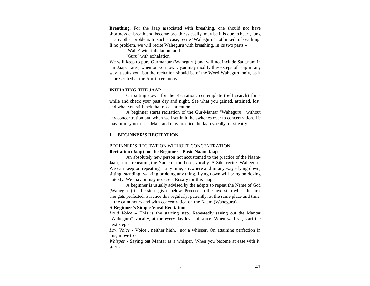**Breathing.** For the Jaap associated with breathing, one should not have shortness of breath and become breathless easily, may be it is due to heart, lung or any other problem. In such a case, recite 'Waheguru' not linked to breathing. If no problem, we will recite Waheguru with breathing, in its two parts –

'Wahe' with inhalation, and

'Guru' with exhalation

We will keep to pure Gurmantar (Waheguru) and will not include Sat.t.nam in our Jaap. Later, when on your own, you may modify these steps of Jaap in any way it suits you, but the recitation should be of the Word Waheguru only, as it is prescribed at the Amrit ceremony.

### **INITIATING THE JAAP**

On sitting down for the Recitation, contemplate (Self search) for a while and check your past day and night. See what you gained, attained, lost, and what you still lack that needs attention.

A beginner starts recitation of the Gur-Mantar "Waheguru," without any concentration and when well set in it, he switches over to concentration. He may or may not use a Mala and may practice the Jaap vocally, or silently.

### **1. BEGINNER'S RECITATION**

# BEGINNER'S RECITATION WITHOUT CONCENTRATION **Recitation (Jaap) for the Beginner - Basic Naam-Jaap -**

An absolutely new person not accustomed to the practice of the Naam-Jaap, starts repeating the Name of the Lord, vocally. A Sikh recites Waheguru. We can keep on repeating it any time, anywhere and in any way - lying down, sitting, standing, walking or doing any thing. Lying down will bring on dozing quickly. We may or may not use a Rosary for this Jaap.

A beginner is usually advised by the adepts to repeat the Name of God (Waheguru) in the steps given below. Proceed to the next step when the first one gets perfected. Practice this regularly, patiently, at the same place and time, at the calm hours and with concentration on the Naam (Waheguru) –

### **A Beginner's Simple Vocal Recitation –**

*Loud Voice* – This is the starting step. Repeatedly saying out the Mantar "Waheguru" vocally, at the every-day level of voice. When well set, start the next step -

*Low Voice* - Voice , neither high, nor a whisper. On attaining perfection in this, move to -

*Whisper* - Saying out Mantar as a whisper. When you become at ease with it, start -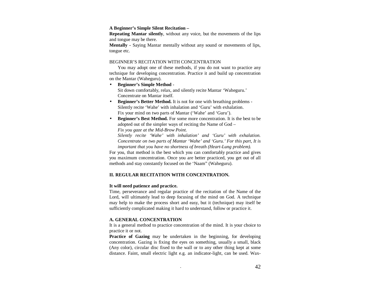### **A Beginner's Simple Silent Recitation –**

**Repeating Mantar silently**, without any voice, but the movements of the lips and tongue may be there.

**Mentally -** Saying Mantar mentally without any sound or movements of lips, tongue etc.

### BEGINNER'S RECITATION WITH CONCENTRATION

You may adopt one of these methods, if you do not want to practice any technique for developing concentration. Practice it and build up concentration on the Mantar (Waheguru).

- **Beginner's Simple Method** Sit down comfortably, relax, and silently recite Mantar 'Waheguru.' Concentrate on Mantar itself.
- **Beginner's Better Method.** It is not for one with breathing problems Silently recite 'Wahe' with inhalation and 'Guru' with exhalation. Fix your mind on two parts of Mantar ('Wahe' and 'Guru').
- **Beginner's Best Method.** For some more concentration. It is the best to be adopted out of the simpler ways of reciting the Name of God – *Fix you gaze at the Mid-Brow Point.*

*Silently recite 'Wahe' with inhalation' and 'Guru' with exhalation. Concentrate on two parts of Mantar 'Wahe' and 'Guru.' For this part, It is important that you have no shortness of breath (Heart-Lung problem).*

For you, that method is the best which you can comfortably practice and gives you maximum concentration. Once you are better practiced, you get out of all methods and stay constantly focused on the 'Naam" (Waheguru).

### **II. REGULAR RECITATION WITH CONCENTRATION.**

### **It will need patience and practice.**

 Time, perseverance and regular practice of the recitation of the Name of the Lord, will ultimately lead to deep focusing of the mind on God. A technique may help to make the process short and easy, but it (technique) may itself be sufficiently complicated making it hard to understand, follow or practice it.

### **A. GENERAL CONCENTRATION**

 It is a general method to practice concentration of the mind. It is your choice to practice it or not.

**Practice of Gazing** may be undertaken in the beginning, for developing concentration. Gazing is fixing the eyes on something, usually a small, black (Any color), circular disc fixed to the wall or to any other thing kept at some distance. Faint, small electric light e.g. an indicator-light, can be used. Wax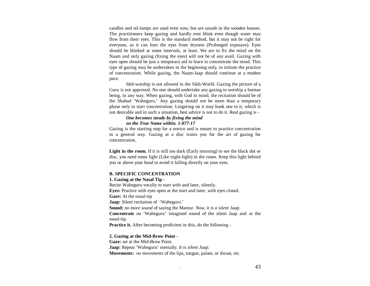candles and oil-lamps are used even now, but are unsafe in the wooden houses. The practitioners keep gazing and hardly ever blink even though water may flow from their eyes. This is the standard method, but it may not be right for everyone, as it can hurt the eyes from dryness (Prolonged exposure). Eyes should be blinked at some intervals, at least. We are to fix the mind on the Naam and only gazing (fixing the eyes) will not be of any avail. Gazing with eyes open should be just a temporary aid to learn to concentrate the mind. This type of gazing may be undertaken in the beginning only, to initiate the practice of concentration. While gazing, the Naam-Jaap should continue at a modest pace.

Idol-worship is not allowed in the Sikh-World. Gazing the picture of a Guru is not approved. No one should undertake any gazing to worship a human being, in any way. When gazing, with God in mind, the recitation should be of the Shabad 'Waheguru.' Any gazing should not be more than a temporary phase only to start concentration. Lingering on it may hook one to it, which is not desirable and in such a situation, best advice is not to do it. Real gazing is -

### *One becomes steady by fixing the mind on the True Name within. 1-877-17*

 Gazing is the starting step for a novice and is meant to practice concentration in a general way. Gazing at a disc trains you for the art of gazing for concentration.

Light in the room. If it is still too dark (Early morning) to see the black dot or disc, you need some light (Like night-light) in the room. Keep this light behind you or above your head to avoid it falling directly on your eyes.

### **B. SPECIFIC CONCENTRATION**

#### **1. Gazing at the Nasal Tip -**

 Recite Waheguru vocally to start with and later, silently. **Eyes:** Practice with eyes open at the start and later, with eyes closed. **Gaze:** At the nasal-tip **Jaap:** Silent recitation of 'Waheguru.' **Sound:** *no more sound* of saying the Mantar. *Now, it is a silent Jaap.* **Concentrate** on 'Waheguru' imagined sound of the silent Jaap and at the nasal-tip. **Practice it.** After becoming proficient in this, do the following -

### **2. Gazing at the Mid-Brow Point -**

**Gaze:** set at the Mid-Brow Point. **Jaap:** Repeat 'Waheguru' mentally*. It is silent Jaap.* **Movements:** *no movements* of the lips, tongue, palate, or throat, etc.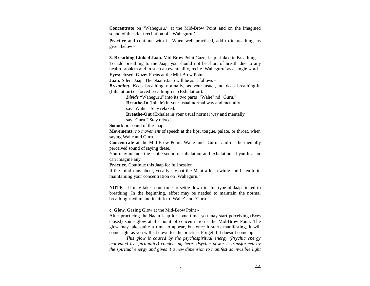**Concentrate** on 'Waheguru,' at the Mid-Brow Point and on the imagined sound of the silent recitation of 'Waheguru.'

**Practice** and continue with it. When well practiced, add to it breathing, as given below -

**3. Breathing Linked Jaap.** Mid-Brow Point Gaze, Jaap Linked to Breathing.

To add breathing to the Jaap, you should not be short of breath due to any health problem and in such an evantuality, recite 'Waheguru' as a single word.**Eyes:** closed. **Gaze:** Focus at the Mid-Brow Point.

**Jaap:** Silent Jaap. The Naam-Jaap will be as it follows -

*Breathing.* Keep breathing normally, as your usual, no deep breathing-in (Inhalation) or forced breathing-out (Exhalation).

*Divide* "Waheguru" into its two parts "Wahe" nd "Guru."

 **Breathe-In** (Inhale) in your usual normal way and mentally say "Wahe." Stay relaxed.

**Breathe-Out** (Exhale) in your usual normal way and mentally say "Guru." Stay relxed.

**Sound:** no sound of the Jaap.

**Movements:** *no movement* of speech at the lips, tongue, palate, or throat, when saying Wahe and Guru.

**Concentrate** at the Mid-Brow Point, Wahe and "Guru" and on the mentally perceived sound of saying these.

You may include the subtle sound of inhalation and exhalation, if you hear or can imagine any.

**Practice.** Continue this Jaap for full session.

If the mind runs about, vocally say out the Mantra for a while and listen to it, maintaining your concentration on .Waheguru.'

**NOTE -** It may take some time to settle down in this type of Jaap linked to breathing. In the beginning, effort may be needed to maintain the normal breathing rhythm and its link to 'Wahe' and 'Guru.'

**c. Glow.** Gazing Glow at the Mid-Brow Point -

 After practicing the Naam-Jaap for some time, you may start perceiving (Eyes closed) some glow at the point of concentration - the Mid-Brow Point. The glow may take quite a time to appear, but once it starts manifesting, it will come right as you will sit down for the practice. Forget if it doesn't come up.

 *This glow is caused by the psychospiritual energy (Psychic energy motivated by spirituality) condensing here. Psychic power is transformed by the spiritual energy and gives it a new dimension to manifest as invisible light*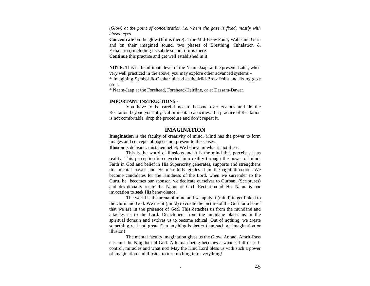*(Glow) at the point of concentration i.e. where the gaze is fixed, mostly with closed eyes.* 

**Concentrate** on the glow (If it is there) at the Mid-Brow Point, Wahe and Guru and on their imagined sound, two phases of Breathing (Inhalation & Exhalation) including its subtle sound, if it is there.

**Continue** this practice and get well established in it.

**NOTE.** This is the ultimate level of the Naam-Jaap, at the present. Later, when very well practiced in the above, you may explore other advanced systems –

\* Imagining Symbol Ik-Oankar placed at the Mid-Brow Point and fixing gaze on it.

\* Naam-Jaap at the Forehead, Forehead-Hairline, or at Dassam-Dawar.

### **IMPORTANT INSTRUCTIONS -**

 You have to be careful not to become over zealous and do the Recitation beyond your physical or mental capacities. If a practice of Recitation is not comfortable, drop the procedure and don't repeat it.

### **IMAGINATION**

**Imagination** is the faculty of creativity of mind. Mind has the power to form images and concepts of objects not present to the senses.

**Illusion** is delusion, mistaken belief. We believe in what is not there.

 This is the world of illusions and it is the mind that perceives it as reality. This perception is converted into reality through the power of mind. Faith in God and belief in His Superiority generates, supports and strengthens this mental power and He mercifully guides it in the right direction. We become candidates for the Kindness of the Lord, when we surrender to the Guru, he becomes our sponsor, we dedicate ourselves to Gurbani (Scriptures) and devotionally recite the Name of God. Recitation of His Name is our invocation to seek His benevolence!

 The world is the arena of mind and we apply it (mind) to get linked to the Guru and God. We use it (mind) to create the picture of the Guru or a belief that we are in the presence of God. This detaches us from the mundane and attaches us to the Lord. Detachment from the mundane places us in the spiritual domain and evolves us to become ethical. Out of nothing, we create something real and great. Can anything be better than such an imagination or illusion!

 The mental faculty imagination gives us the Glow, Anhad, Amrit-Rass etc. and the Kingdom of God. A human being becomes a wonder full of selfcontrol, miracles and what not! May the Kind Lord bless us with such a power of imagination and illusion to turn nothing into everything!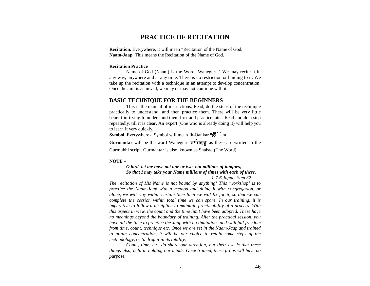# **PRACTICE OF RECITATION**

**Recitation.** Everywhere, it will mean "Recitation of the Name of God." **Naam-Jaap.** This means the Recitation of the Name of God.

### **Recitation Practice**

Name of God (Naam) is the Word 'Waheguru.' We may recite it in any way, anywhere and at any time. There is no restriction or binding to it. We take up the recitation with a technique in an attempt to develop concentration. Once the aim is achieved, we may or may not continue with it.

# **BASIC TECHNIQUE FOR THE BEGINNERS**

 This is the manual of instructions. Read, do the steps of the technique practically to understand, and then practice them. There will be very little benefit in trying to understand them first and practice later. Read and do a step repeatedly, till it is clear. An expert (One who is already doing it) will help you to learn it very quickly.

**Symbol.** Everywhere a Symbol will mean Ik-Oankar  $96$  and

Gurmantar will be the word Waheguru **ਵਾਹਿਗੁਰੂ** as these are written in the Gurmukhi script. Gurmantar is also, known as Shabad (The Word).

#### **NOTE –**

# *O lord, let me have not one or two, but millions of tongues, So that I may take your Name millions of times with each of these.*

 *1-7-6.Jappu, Step 32* 

*The recitation of His Name is not bound by anything! This 'workshop' is to practice the Naam-Jaap with a method and doing it with congregation, or alone, we will stay within certain time limit we will fix for it, so that we can complete the session within total time we can spare. In our training, it is imperative to follow a discipline to maintain practicability of a process. With this aspect in view, the count and the time limit have been adopted. These have no meanings beyond the boundary of training. After the practical session, you have all the time to practice the Jaap with no limitations and with full freedom from time, count, technique etc. Once we are set in the Naam-Jaap and trained to attain concentration, it will be our choice to retain some steps of the methodology, or to drop it in its totality.* 

*Count, time, etc. do share our attention, but their use is that these things also, help in holding our minds. Once trained, these props will have no purpose.*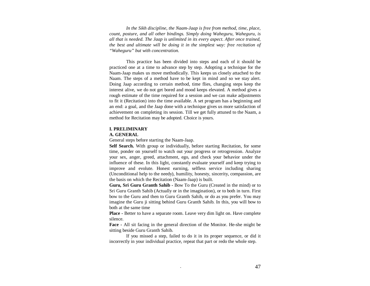*In the Sikh discipline, the Naam-Jaap is free from method, time, place, count, posture, and all other bindings. Simply doing Waheguru, Waheguru, is all that is needed. The Jaap is unlimited in its every aspect. After once trained, the best and ultimate will be doing it in the simplest way: free recitation of "Waheguru" but with concentration.*

This practice has been divided into steps and each of it should be practiced one at a time to advance step by step. Adopting a technique for the Naam-Jaap makes us move methodically. This keeps us closely attached to the Naam. The steps of a method have to be kept in mind and so we stay alert. Doing Jaap according to certain method, time flies, changing steps keep the interest alive, we do not get bored and mood keeps elevated. A method gives a rough estimate of the time required for a session and we can make adjustments to fit it (Recitation) into the time available. A set program has a beginning and an end: a goal, and the Jaap done with a technique gives us more satisfaction of achievement on completing its session. Till we get fully attuned to the Naam, a method for Recitation may be adopted. Choice is yours.

### **I. PRELIMINARY**

### **A. GENERAL**

General steps before starting the Naam-Jaap.

**Self Search.** With group or individually, before starting Recitation, for some time, ponder on yourself to watch out your progress or retrogression. Analyze your sex, anger, greed, attachment, ego, and check your behavior under the influence of these. In this light, constantly evaluate yourself and keep trying to improve and evolute. Honest earning, selfless service including sharing (Unconditional help to the needy), humility, honesty, sincerity, compassion, are the basis on which the Recitation (Naam-Jaap) is built.

**Guru, Sri Guru Granth Sahib -** Bow To the Guru (Created in the mind) or to Sri Guru Granth Sahib (Actually or in the imagination), or to both in turn. First bow to the Guru and then to Guru Granth Sahib, or do as you prefer. You may imagine the Guru ji sitting behind Guru Granth Sahib. In this, you will bow to both at the same time

**Place -** Better to have a separate room. Leave very dim light on. Have complete silence.

**Face -** All sit facing in the general direction of the Monitor. He-she might be sitting beside Guru Granth Sahib.

If you missed a step, failed to do it in its proper sequence, or did it incorrectly in your individual practice, repeat that part or redo the whole step.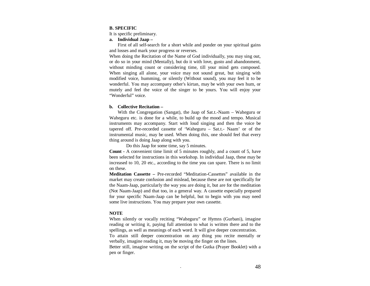### **B. SPECIFIC**

It is specific preliminary.

**a. Individual Jaap –** 

First of all self-search for a short while and ponder on your spiritual gains and losses and mark your progress or reverses.

When doing the Recitation of the Name of God individually, you may sing out, or do so in your mind (Mentally), but do it with love, gusto and abandonment, without minding count or considering time, till your mind gets composed. When singing all alone, your voice may not sound great, but singing with modified voice, humming, or silently (Without sound), you may feel it to be wonderful. You may accompany other's kirtan, may be with your own hum, or mutely and feel the voice of the singer to be yours. You will enjoy your "Wonderful" voice.

### **b. Collective Recitation –**

With the Congregation (Sangat), the Jaap of Sat.t.-Naam – Waheguru or Waheguru etc. is done for a while, to build up the mood and tempo. Musical instruments may accompany. Start with loud singing and then the voice be tapered off. Pre-recorded cassette of 'Waheguru – Sat.t.- Naam' or of the instrumental music, may be used. When doing this, one should feel that every thing around is doing Jaap along with you.

Do this Jaap for some time, say 5 minutes.

**Count -** A convenient time limit of 5 minutes roughly, and a count of 5, have been selected for instructions in this workshop. In individual Jaap, these may be increased to 10, 20 etc., according to the time you can spare. There is no limit on these.

**Meditation Cassette –** Pre-recorded "Meditation-Cassettes" available in the market may create confusion and mislead, because these are not specifically for the Naam-Jaap, particularly the way you are doing it, but are for the meditation (Not Naam-Jaap) and that too, in a general way. A cassette especially prepared for your specific Naam-Jaap can be helpful, but to begin with you may need some live instructions. You may prepare your own cassette.

### **NOTE**

 When silently or vocally reciting "Waheguru" or Hymns (Gurbani), imagine reading or writing it, paying full attention to what is written there and to the spellings, as well as meanings of each word. It will give deeper concentration. To attain still deeper concentration on any thing you recite mentally or verbally, imagine reading it, may be moving the finger on the lines.

Better still, imagine writing on the script of the Gutka (Prayer Booklet) with a pen or finger.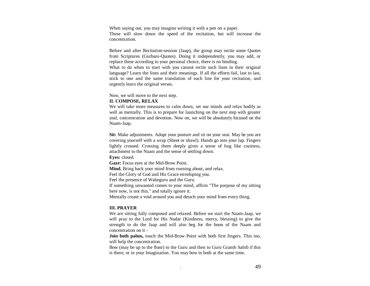When saying out, you may imagine writing it with a pen on a paper. These will slow down the speed of the recitation, but will increase the concentration.

Before and after Recitation-session (Jaap), the group may recite some Quotes from Scriptures (Gurbani-Quotes). Doing it independently, you may add, or replace these according to your personal choice, there is no binding. What to do when to start with you cannot recite such lines in their original language? Learn the lines and their meanings. If all the efforts fail, last to last, stick to one and the same translation of each line for your recitation, and urgently learn the original verses.

Now, we will move to the next step.

### **II. COMPOSE, RELAX**

We will take more measures to calm down, set our minds and relax bodily as well as mentally. This is to prepare for launching on the next step with greater zeal, concentration and devotion. Now on, we will be absolutely focused on the Naam-Jaap.

**Sit:** Make adjustments. Adopt your posture and sit on your seat. May be you are covering yourself with a wrap (Sheet or shawl). Hands go into your lap. Fingers lightly crossed. Crossing them deeply gives a sense of hug like coziness, attachment to the Naam and the sense of settling down.

**Eyes:** closed.

**Gaze:** Focus eyes at the Mid-Brow Point.

**Mind.** Bring back your mind from running about, and relax.

Feel the Glory of God and His Grace enveloping you.

Feel the presence of Waheguru and the Guru.

If something unwanted comes to your mind, affirm "The purpose of my sitting here now, is not this," and totally ignore it.

Mentally create a void around you and detach your mind from every thing.

### **III. PRAYER**

We are sitting fully composed and relaxed. Before we start the Naam-Jaap, we will pray to the Lord for His Nadar (Kindness, mercy, blessing) to give the strength to do the Jaap and will also beg for the boon of the Naam and concentration on it -

**Join both palms,** touch the Mid-Brow Point with both first fingers. This too, will help the concentration.

Bow (may be up to the floor) to the Guru and then to Guru Granth Sahib if this is there, or in your Imagination. You may bow to both at the same time.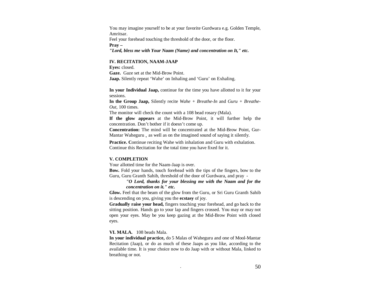You may imagine yourself to be at your favorite Gurdwara e.g. Golden Temple, Amritsar. Feel your forehead touching the threshold of the door, or the floor. **Pray –**

*"Lord, bless me with Your Naam (Name) and concentration on It," etc.* 

### **IV. RECITATION, NAAM-JAAP**

**Eyes:** closed. **Gaze.** Gaze set at the Mid-Brow Point.**Jaap.** Silently repeat 'Wahe' on Inhaling and 'Guru' on Exhaling.

**In your Individual Jaap,** continue for the time you have allotted to it for yoursessions.

**In the Group Jaap,** Silently recite *Wahe + Breathe-In* and *Guru + Breathe-Out,* 100 times.

The monitor will check the count with a 108 bead rosary (Mala).

**If the glow appears** at the Mid-Brow Point, it will further help the concentration. Don't bother if it doesn't come up.

**Concentration:** The mind will be concentrated at the Mid-Brow Point, Gur-Mantar Waheguru, as well as on the imagined sound of saying it silently.

**Practice.** Continue reciting Wahe with inhalation and Guru with exhalation. Continue this Recitation for the total time you have fixed for it.

### **V. COMPLETION**

Your allotted time for the Naam-Jaap is over.

**Bow.** Fold your hands, touch forehead with the tips of the fingers, bow to the Guru, Guru Granth Sahib, threshold of the door of Gurdwara, and pray -

> *"O Lord, thanks for your blessing me with the Naam and for the concentration on it." etc.*

**Glow.** Feel that the beam of the glow from the Guru, or Sri Guru Granth Sahib is descending on you, giving you the **ecstasy** of joy.

**Gradually raise your head,** fingers touching your forehead, and go back to the sitting position. Hands go to your lap and fingers crossed. You may or may not open your eyes. May be you keep gazing at the Mid-Brow Point with closed eyes.

**VI. MALA.** 108 beads Mala.

**In your individual practice,** do 5 Malas of Waheguru and one of Mool-Mantar Recitation (Jaap), or do as much of these Jaaps as you like, according to the available time. It is your choice now to do Jaap with or without Mala, linked to breathing or not.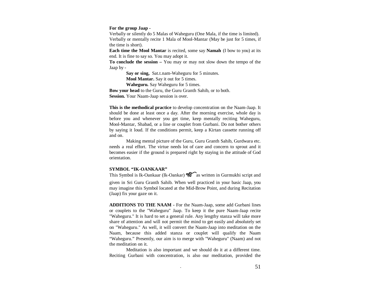#### **For the group Jaap -**

Verbally or silently do 5 Malas of Waheguru (One Mala, if the time is limited). Verbally or mentally recite 1 Mala of Mool-Mantar (May be just for 5 times, if the time is short).

**Each time the Mool Mantar** is recited, some say **Namah**(I bow to you) at its end. It is fine to say so. You may adopt it.

**To conclude the session –** You may or may not slow down the tempo of the Jaap by -

> **Say or sing,** Sat.t.nam-Waheguru for 5 minutes. **Mool Mantar.** Say it out for 5 times. **Waheguru.** Say Waheguru for 5 times.

**Bow your head** to the Guru, the Guru Granth Sahib, or to both. **Session.** Your Naam-Jaap session is over.

**This is the methodical practice** to develop concentration on the Naam-Jaap. It should be done at least once a day. After the morning exercise, whole day is before you and whenever you get time, keep mentally reciting Waheguru, Mool-Mantar, Shabad, or a line or couplet from Gurbani. Do not bother others by saying it loud. If the conditions permit, keep a Kirtan cassette running off and on.

Making mental picture of the Guru, Guru Granth Sahib, Gurdwara etc. needs a real effort. The virtue needs lot of care and concern to sprout and it becomes easier if the ground is prepared right by staying in the attitude of God orientation.

### **SYMBOL "IK-OANKAAR"**

This Symbol is Ik-Oankaar (Ik-Oankar)  $\mathcal{F}$  as written in Gurmukhi script and given in Sri Guru Granth Sahib. When well practiced in your basic Jaap, you may imagine this Symbol located at the Mid-Brow Point, and during Recitation (Jaap) fix your gaze on it.

**ADDITIONS TO THE NAAM -** For the Naam-Jaap, some add Gurbani lines or couplets to the "Waheguru" Jaap. To keep it the pure Naam-Jaap recite "Waheguru." It is hard to set a general rule. Any lengthy stanza will take more share of attention and will not permit the mind to get easily and absolutely set on "Waheguru." As well, it will convert the Naam-Jaap into meditation on the Naam, because this added stanza or couplet will qualify the Naam "Waheguru." Presently, our aim is to merge with "Waheguru" (Naam) and not the meditation on it.

Meditation is also important and we should do it at a different time. Reciting Gurbani with concentration, is also our meditation, provided the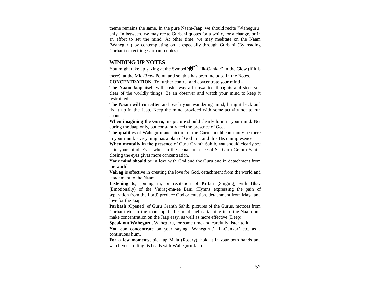theme remains the same. In the pure Naam-Jaap, we should recite "Waheguru" only. In between, we may recite Gurbani quotes for a while, for a change, or in an effort to set the mind. At other time, we may meditate on the Naam (Waheguru) by contemplating on it especially through Gurbani (By reading Gurbani or reciting Gurbani quotes).

### **WINDING UP NOTES**

You might take up gazing at the Symbol  $\mathcal{H}$  "Ik-Oankar" in the Glow (if it is

there), at the Mid-Brow Point, and so, this has been included in the Notes. **CONCENTRATION.** To further control and concentrate your mind –

**The Naam-Jaap** itself will push away all unwanted thoughts and steer you clear of the worldly things. Be an observer and watch your mind to keep it restrained.

**The Naam will run after** and reach your wandering mind, bring it back and fix it up in the Jaap. Keep the mind provided with some activity not to run about.

**When imagining the Guru,** his picture should clearly form in your mind. Not during the Jaap only, but constantly feel the presence of God.

**The qualities** of Waheguru and picture of the Guru should constantly be there in your mind. Everything has a plan of God in it and this His omnipresence.

**When mentally in the presence** of Guru Granth Sahib, you should clearly see it in your mind. Even when in the actual presence of Sri Guru Granth Sahib, closing the eyes gives more concentration.

**Your mind should** be in love with God and the Guru and in detachment from the world.

**Vairag** is effective in creating the love for God, detachment from the world and attachment to the Naam.

Listening to, joining in, or recitation of Kirtan (Singing) with Bhav (Emotionally) of the Vairag-ma-ee Bani (Hymns expressing the pain of separation from the Lord) produce God orientation, detachment from Maya and love for the Jaap.

 **Parkash** (Opened) of Guru Granth Sahib, pictures of the Gurus, mottoes from Gurbani etc. in the room uplift the mind, help attaching it to the Naam and make concentration on the Jaap easy, as well as more effective (Deep).

**Speak out Waheguru,** Waheguru, for some time and carefully listen to it.

**You can concentrate** on your saying 'Waheguru,' 'Ik-Oankar' etc. as a continuous hum.

**For a few moments,** pick up Mala (Rosary), hold it in your both hands and watch your rolling its beads with Waheguru Jaap.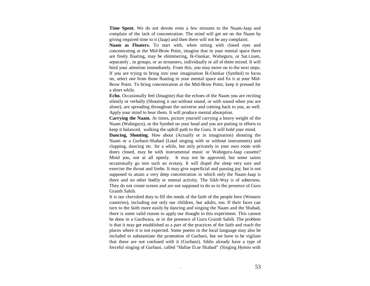**Time Spent.** We do not devote even a few minutes to the Naam-Jaap and complain of the lack of concentration. The mind will get set on the Naam by giving required time to it (Jaap) and then there will not be any complaint.

**Naam as Floaters.** To start with, when sitting with closed eyes and concentrating at the Mid-Brow Point, imagine that in your mental space there are freely floating, may be shimmering, Ik-Oankar, Waheguru, or Sat.t.nam, separately , in groups, or as streamers, individually or all of them mixed. It will bind your attention immediately. From this, you may move on to the next steps. If you are trying to bring into your imagination Ik-Oankar (Symbol) to focus on, select one from those floating in your mental space and fix it at your Mid-Brow Point. To bring concentration at the Mid-Brow Point, keep it pressed for a short while.

**Echo.** Occasionally feel (Imagine) that the echoes of the Naam you are reciting silently or verbally (Shouting it out without sound, or with sound when you are alone), are spreading throughout the universe and coming back to you, as well. Apply your mind to hear them. It will produce mental absorption.

**Carrying the Naam.** At times, picture yourself carrying a heavy weight of the Naam (Waheguru), or the Symbol on your head and you are putting in efforts to keep it balanced, walking the uphill path to the Guru. It will hold your mind.

**Dancing, Shouting.** How about (Actually or in imagination) shouting the Naam or a Gurbani-Shabad (Loud singing with or without instruments) and clapping, dancing etc. for a while, but only privately in your own room with doors closed, may be with instrumental music or Waheguru-Jaap cassette? Mind you, not at all openly. It may not be approved, but some saints occasionally go into such an ecstasy. It will dispel the sleep very sure and exercise the throat and limbs. It may give superficial and passing joy, but is not supposed to attain a very deep concentration in which only the Naam-Jaap is there and no other bodily or mental activity. The Sikh-Way is of soberness. They do not create scenes and are not supposed to do so in the presence of Guru Granth Sahib.

It is our cherished duty to fill the needs of the faith of the people here (Western countries), including not only our children, but adults, too. If their faces can turn to the faith more easily by dancing and singing the Naam and the Shabad, there is some valid reason to apply our thought to this experiment. This cannot be done in a Gurdwara, or in the presence of Guru Granth Sahib. The problem is that it may get established as a part of the practices of the faith and reach the places where it is not expected. Some poems in the local language may also be included to substantiate the promotion of Gurbani, but we have to be vigilant that these are not confused with it (Gurbani). Sikhs already have a type of forceful singing of Gurbani, called "Hallae D.ae Shabad"(Singing Hymns with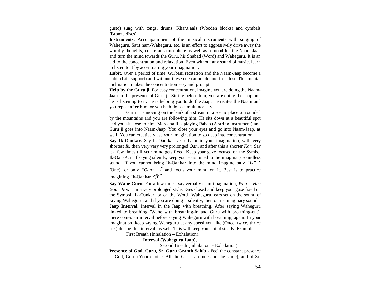gusto) sung with tongs, drums, Khar.t.aals (Wooden blocks) and cymbals (Bronze discs).

**Instruments.** Accompaniment of the musical instruments with singing of Waheguru, Sat.t.nam-Waheguru, etc. is an effort to aggressively drive away the worldly thoughts, create an atmosphere as well as a mood for the Naam-Jaap and turn the mind towards the Guru, his Shabad (Word) and Waheguru. It is an aid to the concentration and relaxation. Even without any sound of music, learn to listen to it by accentuating your imagination.

**Habit.** Over a period of time, Gurbani recitation and the Naam-Jaap become a habit (Life-support) and without these one cannot do and feels lost. This mental inclination makes the concentration easy and prompt.

**Help by the Guru ji.** For easy concentration, imagine you are doing the Naam-Jaap in the presence of Guru ji. Sitting before him, you are doing the Jaap and he is listening to it. He is helping you to do the Jaap. He recites the Naam and you repeat after him, or you both do so simultaneously.

Guru ji is moving on the bank of a stream in a scenic place surrounded by the mountains and you are following him. He sits down at a beautiful spot and you sit close to him. Mardana ji is playing Rabab (A string instrument) and Guru ji goes into Naam-Jaap. You close your eyes and go into Naam-Jaap, as well. You can creatively use your imagination to go deep into concentration.

**Say Ik-Oankar.** Say Ik-Oan-kar verbally or in your imagination, with very shortest *Ik,* then very very very prolonged *Oan,* and after this a shorter *Kar.* Say it a few times till your mind gets fixed. Keep your gaze focused on the Symbol Ik-Oan-Kar If saying silently, keep your ears tuned to theimaginary soundless sound. If you cannot bring Ik-Oankar into the mind imagine only *"Ik"* (One), or only " $Oan$ "  $\overline{\theta}$  and focus your mind on it. Best is to practice imagining Ik-Oankar

**Say Wahe-Guru.** For a few times, say verbally or in imagination, *Waa Hae Goo Roo* in a very prolonged style. Eyes closed and keep your gaze fixed on the Symbol Ik-Oankar, or on the Word Waheguru, ears set on the sound of saying Waheguru, and if you are doing it silently, then on its imaginary sound. **Jaap Interval.** Interval in the Jaap with breathing**.** After saying Waheguru linked to breathing (Wahe with breathing-in and Guru with breathing-out), there comes an interval before saying Waheguru with breathing, again. In your imagination, keep saying Waheguru at any speed you like (Once, twice, thrice etc.) during this interval, as well. This will keep your mind steady. Example -

First Breath (Inhalation – Exhalation),

### **Interval (Waheguru Jaap),**

Second Breath (Inhalation - Exhalation)

**Presence of God, Guru, Sri Guru Granth Sahib -** Feel the constant presence of God, Guru (Your choice. All the Gurus are one and the same), and of Sri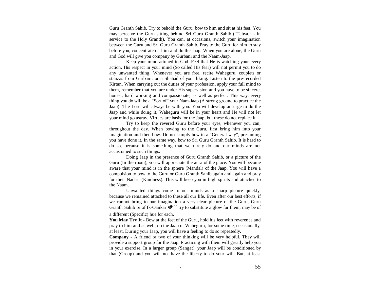Guru Granth Sahib. Try to behold the Guru, bow to him and sit at his feet. You may perceive the Guru sitting behind Sri Guru Granth Sahib ("Tabya," - in service to the Holy Granth). You can, at occasions, switch your imagination between the Guru and Sri Guru Granth Sahib. Pray to the Guru for him to stay before you, concentrate on him and do the Jaap. When you are alone, the Guru and God will give you company by Gurbani and the Naam-Jaap.

Keep your mind attuned to God. Feel that He is watching your every action. His respect in your mind (So called His fear) will not permit you to do any unwanted thing. Whenever you are free, recite Waheguru, couplets or stanzas from Gurbani, or a Shabad of your liking. Listen to the pre-recorded Kirtan. When carrying out the duties of your profession, apply your full mind to them, remember that you are under His supervision and you have to be sincere, honest, hard working and compassionate, as well as perfect. This way, every thing you do will be a "Sort of" your Nam-Jaap (A strong ground to practice the Jaap). The Lord will always be with you. You will develop an urge to do the Jaap and while doing it, Waheguru will be in your heart and He will not let your mind go astray. Virtues are basis for the Jaap, but these do not replace it.

Try to keep the revered Guru before your eyes, whenever you can, throughout the day. When bowing to the Guru, first bring him into your imagination and then bow. Do not simply bow in a "General way", presuming you have done it. In the same way, bow to Sri Guru Granth Sahib. It is hard to do so, because it is something that we rarely do and our minds are not accustomed to such things.

Doing Jaap in the presence of Guru Granth Sahib, or a picture of the Guru (In the room), you will appreciate the aura of the place. You will become aware that your mind is in the sphere (Mandal) of the Jaap. You will have a compulsion to bow to the Guru or Guru Granth Sahib again and again and pray for their Nadar (Kindness). This will keep you in high spirits and attached to the Naam.

Unwanted things come to our minds as a sharp picture quickly,because we remained attached to these all our life. Even after our best efforts, if we cannot bring to our imagination a very clear picture of the Guru, Guru Granth Sahib or of Ik-Oankar  $\mathcal{C}$  try to substitute a glow for them, may be of a different (Specific) hue for each.

**You May Try It -** Bow at the feet of the Guru, hold his feet with reverence and pray to him and as well, do the Jaap of Waheguru, for some time, occasionally, at least. During your Jaap, you will have a feeling to do so repeatedly.

**Company -** A friend or two of your thinking will be very helpful. They will provide a support group for the Jaap. Practicing with them will greatly help you in your exercise. In a larger group (Sangat), your Jaap will be conditioned by that (Group) and you will not have the liberty to do your will. But, at least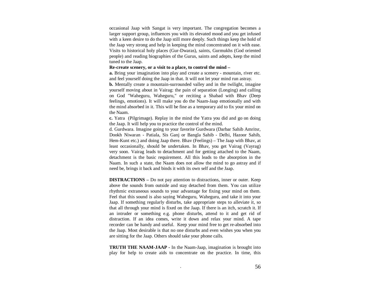occasional Jaap with Sangat is very important. The congregation becomes a larger support group, influences you with its elevated mood and you get infused with a keen desire to do the Jaap still more deeply. Such things keep the hold of the Jaap very strong and help in keeping the mind concentrated on it with ease. Visits to historical holy places (Gur-Dwaras), saints, Gurmukhs (God oriented people) and reading biographies of the Gurus, saints and adepts, keep the mind tuned to the Jaap.

### **Re-create scenery, or a visit to a place, to control the mind –**

**a.** Bring your imagination into play and create a scenery - mountain, river etc. and feel yourself doing the Jaap in that. It will not let your mind run astray.

**b.** Mentally create a mountain-surrounded valley and in the twilight, imagine yourself moving about in Vairag: the pain of separation (Longing) and calling on God "Waheguru, Waheguru," or reciting a Shabad with Bhav (Deep feelings, emotions). It will make you do the Naam-Jaap emotionally and with the mind absorbed in it. This will be fine as a temporary aid to fix your mind on the Naam.

**c.** Yatra (Pilgrimage). Replay in the mind the Yatra you did and go on doing the Jaap. It will help you to practice the control of the mind.

d. Gurdwara. Imagine going to your favorite Gurdwara (Darbar Sahib Amritsr, Dookh Niwaran - Patiala, Sis Ganj or Bangla Sahib - Delhi, Hazoor Sahib, Hem-Kunt etc.) and doing Jaap there. Bhav (Feelings) – The Jaap with Bhav, at least occasionally, should be undertaken. In Bhav, you get Vairag (Vayrag) very soon. Vairag leads to detachment and for getting attached to the Naam, detachment is the basic requirement. All this leads to the absorption in the Naam. In such a state, the Naam does not allow the mind to go astray and if need be, brings it back and binds it with its own self and the Jaap.

**DISTRACTIONS –** Do not pay attention to distractions, inner or outer. Keep above the sounds from outside and stay detached from them. You can utilize rhythmic extraneous sounds to your advantage for fixing your mind on them.Feel that this sound is also saying Waheguru, Waheguru, and take it into your Jaap. If something regularly disturbs, take appropriate steps to alleviate it, so that all through your mind is fixed on the Jaap. If there is an itch, scratch it. If an intruder or something e.g. phone disturbs, attend to it and get rid of distraction. If an idea comes, write it down and relax your mind. A tape recorder can be handy and useful. Keep your mind free to get re-absorbed into the Jaap. Most desirable is that no one disturbs and even wishes you when you are sitting for the Jaap. Others should take your phone calls.

**TRUTH THE NAAM-JAAP -** In the Naam-Jaap, imagination is brought into play for help to create aids to concentrate on the practice. In time, this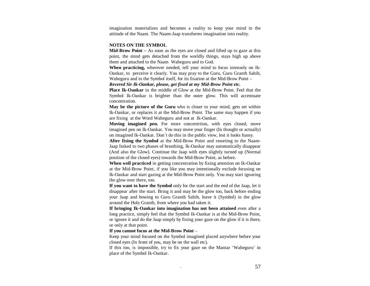imagination materializes and becomes a reality to keep your mind in the attitude of the Naam. The Naam-Jaap transforms imagination into reality.

### **NOTES ON THE SYMBOL**

**Mid-Brow Point –** As soon as the eyes are closed and lifted up to gaze at this point, the mind gets detached from the worldly things, stays high up above them and attached to the Naam Waheguru and to God.

**When practicing,** wherever needed, tell your mind to focus intensely on Ik-Oankar, to perceive it clearly. You may pray to the Guru, Guru Granth Sahib, Waheguru and to the Symbol itself, for its fixation at the Mid-Brow Point –

*Revered Sir Ik-Oankar, please, get fixed at my Mid-Brow Point etc.* 

**Place Ik-Oankar** in the middle of Glow at the Mid-Brow Point. Feel that the Symbol Ik-Oankar is brighter than the outer glow. This will accentuate concentration.

**May be the picture of the Guru** who is closer to your mind, gets set within Ik-Oankar, or replaces it at the Mid-Brow Point. The same may happen if you are fixing at the Word Waheguruand not at Ik-Oankar.

**Moving imagined pen.** For more concentrtion, with eyes closed, move imagined pen on Ik-Oankar. You may move your finger (In thought or actually) on imagined Ik-Oankar. Don`t do this in the public view, lest it looks funny.

**After fixing the Symbol** at the Mid-Brow Point and resorting to the Naam-Jaap linked to two phases of breathing, Ik-Oankar may automatically disappear (And also the Glow). Continue the Jaap with eyes slightly turned up (Normal position of the closed eyes) towards the Mid-Brow Point, as before.

**When well practiced** in getting concentration by fixing attention on Ik-Oankar at the Mid-Brow Point, if you like you may intentionally exclude focusing on Ik-Oankar and start gazing at the Mid-Brow Point only. You may start ignoring the glow over there, too.

**If you want to have the Symbol** only for the start and the end of the Jaap, let it disappear after the start. Bring it and may be the glow too, back before ending your Jaap and bowing to Guru Granth Sahib, leave it (Symbol) in the glow around the Holy Granth, from where you had taken it.

**If bringing Ik-Oankar into imagination has not been attained** even after a long practice, simply feel that the Symbol Ik-Oankar is at the Mid-Brow Point, or ignore it and do the Jaap simply by fixing your gaze on the glow if it is there, or only at that point.

### **If you cannot focus at the Mid-Brow Point** –

Keep your mind focused on the Symbol imagined placed anywhere before your closed eyes (In front of you, may be on the wall etc).

If this too, is impossible, try to fix your gaze on the Mantar 'Waheguru' in place of the Symbol Ik-Oankar.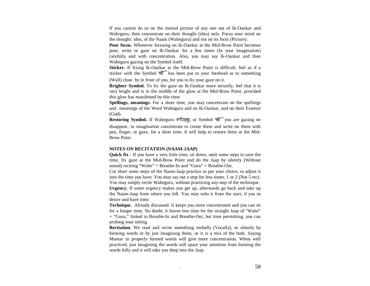If you cannot do so on the mental picture of any one out of Ik-Oankar and Wahrguru, then concentrate on their thought (idea) only. Focus your mind on the thought: idea, of the Naam (Waheguru) and not on its form (Picture).

**Poor focus.** Whenever focusing on Ik-Oankar at the Mid-Brow Point becomes poor, write or gaze on Ik-Oankar for a few times (In your imagination) carefully and with concentration. Also, you may say Ik-Oankar and then Waheguru gazing on the Symbol itself.

**Sticker.** If fixing Ik-Oankar at the Mid-Brow Point is difficult, feel as if a sticker with the Symbol ९८ has been put to your forehead or to something

(Wall) close by in front of you, for you to fix your gaze on it.

**Brighter Symbol.** To fix the gaze on Ik-Oankar more securely, feel that it is very bright and is in the middle of the glow at the Mid-Brow Point, provided this glow has manifested by this time.

**Spellings, meanings.** For a short time, you may concentrate on the spellings and meanings of the Word Waheguru and on Ik-Oankar, and on their Essence (God).

Restoring Symbol. If Waheguru दर्गरागुनु, or Symbol १६ you are gazing on disappear, in imagination concentrate to create these and write on them with pen, finger, or gaze, for a short time. It will help to restore them at the Mid-Brow Point.

### **NOTES ON RECITATION (NAAM-JAAP)**

**Quick fix -** If you have a very little time, sit down, omit some steps to save the time, fix gaze at the Mid-Brow Point and do the Jaap by silently (Without sound) reciting "Wahe" + Breathe-In and "Guru" + Breathe-Out.

Cut short *some steps* of the Naam-Jaap practice as per your choice, to adjust it into the time you have. You may say out a step for less times, 1 or 2 (Not 5 etc). You may simply recite Waheguru, without practicing any step of the technique. **Urgency.** If some urgency makes you get up, afterwards go back and take up the Naam-Jaap from where you left. You may redo it from the start, if you so desire and have time.

**Technique.** Already discussed. It keeps you more concentrated and you can sit for a longer time. No doubt, it leaves less time for the straight Jaap of "Wahe" + "Guru," linked to Breathe-In and Breathe-Out, but time permitting, you can prolong your sitting.

**Recitation.** We read and recite something verbally (Vocally), or silently by forming words or by just imagining them, or it is a mix of the both. Saying Mantar in properly formed words will give more concentration. When well practiced, just imagining the words will spare your attention from forming the words fully and it will take you deep into the Jaap.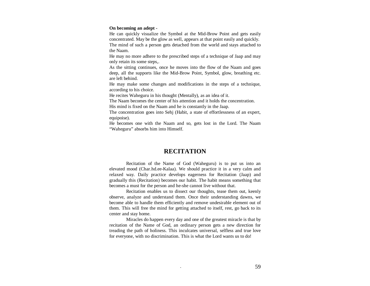### **On becoming an adept -**

He can quickly visualize the Symbol at the Mid-Brow Point and gets easily concentrated. May be the glow as well, appears at that point easily and quickly. The mind of such a person gets detached from the world and stays attached to the Naam.

He may no more adhere to the prescribed steps of a technique of Jaap and may only retain its some steps,.

As the sitting continues, once he moves into the flow of the Naam and goes deep, all the supports like the Mid-Brow Point, Symbol, glow, breathing etc. are left behind.

He may make some changes and modifications in the steps of a technique, according to his choice.

He recites Waheguru in his thought (Mentally), as an idea of it.

The Naam becomes the center of his attention and it holds the concentration. His mind is fixed on the Naam and he is constantly in the Jaap.

The concentration goes into Sehj (Habit, a state of effortlessness of an expert, equipoise).

He becomes one with the Naam and so, gets lost in the Lord. The Naam "Waheguru" absorbs him into Himself.

# **RECITATION**

Recitation of the Name of God (Waheguru) is to put us into an elevated mood (Char.hd.ee-Kalaa). We should practice it in a very calm and relaxed way. Daily practice develops eagerness for Recitation (Jaap) and gradually this (Recitation) becomes our habit. The habit means something that becomes a must for the person and he-she cannot live without that.

 Recitation enables us to dissect our thoughts, tease them out, keenly observe, analyze and understand them. Once their understanding dawns, we become able to handle them efficiently and remove undesirable element out of them. This will free the mind for getting attached to itself, rest, go back to its center and stay home.

 Miracles do happen every day and one of the greatest miracle is that by recitation of the Name of God, an ordinary person gets a new direction for treading the path of holiness. This inculcates universal, selfless and true love for everyone, with no discrimination. This is what the Lord wants us to do!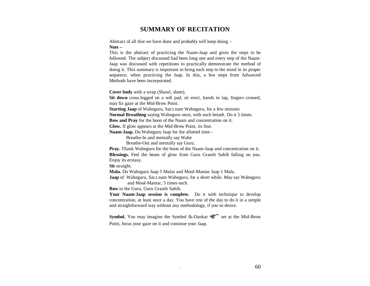# **SUMMARY OF RECITATION**

Abstract of all that we have done and probably will keep doing – **Note –**

 This is the abstract of practicing the Naam-Jaap and gives the steps to be followed. The subject discussed had been long one and every step of the Naam-Jaap was discussed with repetitions to practically demonstrate the method of doing it. This summary is important to bring each step to the mind in its proper sequence, when practicing the Jaap. In this, a few steps from Advanced Methods have been incorporated.

**Cover body** with a wrap (Shawl, sheet).

**Sit down** cross-legged on a soft pad, sit erect, hands in lap, fingers crossed, may fix gaze at the Mid-Brow Point.

**Starting Jaap** of Waheguru, Sat.t.nam Waheguru, for a few minutes

**Normal Breathing** saying Waheguru once, with each breath. Do it 5 times.

**Bow and Pray** for the boon of the Naam and concentration on it.

**Glow.** If glow appears at the Mid-Brow Point, its fine.

**Naam-Jaap.** Do Waheguru Jaap for the allotted time -

Breathe-In and mentally say Wahe

Breathe-Out and mentally say Guru.

**Pray.** Thank Waheguru for the boon of the Naam-Jaap and concentration on it. **Blessings.** Feel the beam of glow from Guru Granth Sahib falling on you. Enjoy its ecstasy.

**Sit** straight.

**Mala.** Do Waheguru Jaap 5 Malas and Mool-Mantar Jaap 1 Mala.

**Jaap** of Waheguru, Sat.t.nam Waheguru, for a short while. May say Waheguru and Mool-Mantar, 5 times each.

**Bow** to the Guru, Guru Granth Sahib.

**Your Naam-Jaap session is complete.** Do it with technique to develop concentration, at least once a day. You have rest of the day to do it in a simple and straightforward way without any methodology, if you so desire.

**Symbol.** You may imagine the Symbol Ik-Oankar  $\mathcal{F}$  set at the Mid-Brow Point, focus your gaze on it and continue your Jaap.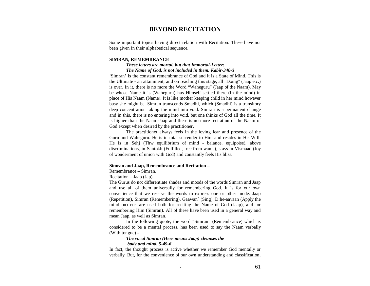# **BEYOND RECITATION**

Some important topics having direct relation with Recitation. These have not been given in their alphabetical sequence.

### **SIMRAN, REMEMBRANCE**

### *These letters are mortal, but that Immortal-Letter: The Name of God, is not included in them. Kabir-340-3*

'Simran' is the constant remembrance of God and it is a State of Mind. This is the Ultimate - an attainment, and on reaching this stage, all "Doing" (Jaap etc.) is over. In it, there is no more the Word "Waheguru" (Jaap of the Naam). May be whose Name it is (Waheguru) has Himself settled there (In the mind) in place of His Naam (Name). It is like mother keeping child in her mind however busy she might be. Simran transcends Smadhi, which (Smadhi) is a transitory deep concentration taking the mind into void. Simran is a permanent change and in this, there is no entering into void, but one thinks of God all the time. It is higher than the Naam-Jaap and there is no more recitation of the Naam of God except when desired by the practitioner.

The practitioner always feels in the loving fear and presence of the Guru and Waheguru. He is in total surrender to Him and resides in His Will. He is in Sehj (Thw equilibrium of mind - balance, equipoise), above discriminations, in Santokh (Fulfilled, free from wants), stays in Vismaad (Joy of wonderment of union with God) and constantly feels His bliss.

### **Simran and Jaap, Remembrance and Recitation –**

### Remembrance – Simran.

Recitation – Jaap (Jap).

The Gurus do not differentiate shades and moods of the words Simran and Jaap and use all of them universally for remembering God. It is for our own convenience that we reserve the words to express one or other mode. Jaap (Repetition), Simran (Remembering), Gaawan` (Sing), D:he-aavaan (Apply the mind on) etc. are used both for reciting the Name of God (Jaap), and for remembering Him (Simran). All of these have been used in a general way and mean Jaap, as well as Simran.

In the following quote, the word "Simran" (Remembrance) which is considered to be a mental process, has been used to say the Naam verbally (With tongue) -

### *The vocal Simran (Here means Jaap) cleanses the body and mind. 5-49-6*

 In fact, the thought process is active whether we remember God mentally or verbally. But, for the convenience of our own understanding and classification,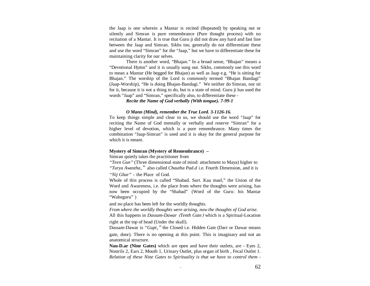the Jaap is one wherein a Mantar is recited (Repeated) by speaking out or silently and Simran is pure remembrance (Pure thought process) with no recitation of a Mantar. It is true that Guru ji did not draw any hard and fast line between the Jaap and Simran. Sikhs too, generally do not differentiate these and use the word "Simran" for the "Jaap," but we have to differentiate these for maintaining clarity for our selves.

There is another word, "Bhajan." In a broad sense, "Bhajan" means a "Devotional Hymn" and it is usually sung out. Sikhs, commonly use this word to mean a Mantar (He begged for Bhajan) as well as Jaap e.g. "He is sitting for Bhajan." The worship of the Lord is commonly termed "Bhajan Bandagi" (Jaap-Worship), "He is doing Bhajan-Bandagi." We neither do Simran, nor sit for it, because it is not a thing to do, but is a state of mind. Guru ji has used the words "Jaap" and "Simran," specifically also, to differentiate these -

 *Recite the Name of God verbally (With tongue). 7-99-1* 

### *O Mann (Mind), remember the True Lord. 3-1126-16.*

To keep things simple and clear to us, we should use the word "Jaap" for reciting the Name of God mentally or verbally and reserve "Simran" for a higher level of devotion, which is a pure remembrance. Many times the combination "Jaap-Simran" is used and it is okay for the general purpose for which it is meant.

### **Mystery of Simran (Mystery of Remembrance) –**

Simran quietly takes the practitioner from

*"Teen Gun"* (Three dimensional state of mind: attachment to Maya) higher to "Turya Awastha," also called *Chautha Pad.d* i.e. Fourth Dimension, and it is

*"Nij Ghar"-*the Place of God.

Whole of this process is called "Shabad. Surt. Kaa mael," the Union of the Word and Awareness, i.e. the place from where the thoughts were arising, has now been occupied by the "Shabad" (Word of the Guru: his Mantar "Waheguru"

and no place has been left for the worldly thoughts.

*From where the worldly thoughts were arising, now the thoughts of God arise.*All this happens in *Dassam-Dawar (Tenth Gate)* which is a Spiritual-Location right at the top of head (Under the skull).

Dassam-Dawar is "Gupt," the Closed i.e. Hidden Gate (Darr or Dawar means

gate, door). There is no opening at this point. This is imaginary and not an anatomical structure.

**Nau-D.ar (Nine Gates)** which are open and have their outlets, are - Eyes 2, Nostrils 2, Ears 2, Mouth 1, Urinary Outlet, plus organ of birth , Fecal Outlet 1. *Relation of these Nine Gates to Spirituality is that we have to control them -*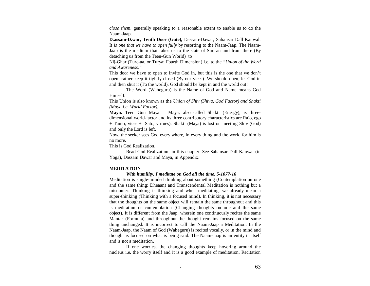*close them,* generally speaking to a reasonable extent to enable us to do the Naam-Jaap.

**D.assam-D.war, Tenth Door (Gate),** Dassam-Dawar, Sahansar Dall Kanwal. It *is one that we have to open fully* by resorting to the Naam-Jaap. The Naam-Jaap is the medium that takes us to the state of Simran and from there (By detaching us from the Teen-Gun World) to

Nij-Ghar (Ture-aa, or Turya: Fourth Dimension) i.e. to the *"Union of the Word and Awareness."* 

This door we have to open to invite God in, but this is the one that we don't open, rather keep it tightly closed (By our vices). We should open, let God in and then shut it (To the world). God should be kept in and the world out!

The Word (Waheguru) is the Name of God and Name means God Himself.

This Union is also known as the *Union of Shiv (Shiva, God Factor) and Shakti (Maya i.e. World Factor).* 

**Maya.** Teen Gun Maya – Maya, also called Shakti (Energy), is threedimensional world-factor and its three contributory characteristics are Rajo, ego + Tamo, vices + Sato, virtues). Shakti (Maya) is lost on meeting Shiv (God) and only the Lord is left.

Now, the seeker sees God every where, in every thing and the world for him is no more.

This is God Realization.

Read God-Realization; in this chapter. See Sahansar-Dall Kanwal (in Yoga), Dassam Dawar and Maya, in Appendix.

# **MEDITATION**

# *With humility, I meditate on God all the time. 5-1077-16*

Meditation is single-minded thinking about something (Contemplation on one and the same thing: Dheaan) and Transcendental Meditation is nothing but a misnomer. Thinking is thinking and when meditating, we already mean a super-thinking (Thinking with a focused mind). In thinking, it is not necessary that the thoughts on the same object will remain the same throughout and this is meditation or contemplation (Changing thoughts on one and the same object). It is different from the Jaap, wherein one continuously recites the same Mantar (Formula) and throughout the thought remains focused on the same thing unchanged. It is incorrect to call the Naam-Jaap a Meditation. In the Naam-Jaap, the Naam of God (Waheguru) is recited vocally, or in the mind and thought is focused on what is being said. The Naam-Jaap is an entity in itself and is not a meditation.

If one worries, the changing thoughts keep hovering around the nucleus i.e. the worry itself and it is a good example of meditation. Recitation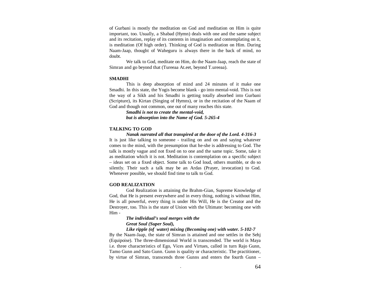of Gurbani is mostly the meditation on God and meditation on Him is quite important, too. Usually, a Shabad (Hymn) deals with one and the same subject and its recitation, replay of its contents in imagination and contemplating on it, is meditation (Of high order). Thinking of God is meditation on Him. During Naam-Jaap, thought of Waheguru is always there in the back of mind, no doubt.

We talk to God, meditate on Him, do the Naam-Jaap, reach the state of Simran and go beyond that (Tureeaa At.eet, beyond T.ureeaa).

### **SMADHI**

This is deep absorption of mind and 24 minutes of it make one Smadhi. In this state, the Yogis become blank - go into mental-void. This is not the way of a Sikh and his Smadhi is getting totally absorbed into Gurbani (Scripture), its Kirtan (Singing of Hymns), or in the recitation of the Naam of God and though not common, one out of many reaches this state.

> *Smadhi is not to create the mental-void, but is absorption into the Name of God. 5-265-4*

### **TALKING TO GOD**

*Nanak narrated all that transpired at the door of the Lord. 4-316-3* 

It is just like talking to someone - trailing on and on and saying whatever comes to the mind, with the presumption that he-she is addressing to God. The talk is mostly vague and not fixed on to one and the same topic. Some, take it as meditation which it is not. Meditation is contemplation on a specific subject – ideas set on a fixed object. Some talk to God loud, others mumble, or do so silently. Their such a talk may be an Ardas (Prayer, invocation) to God. Whenever possible, we should find time to talk to God.

### **GOD REALIZATION**

God Realization is attaining the Brahm-Gian, Supreme Knowledge of God, that He is present everywhere and in every thing, nothing is without Him, He is all powerful, every thing is under His Will, He is the Creator and the Destroyer, too. This is the state of Union with the Ultimate: becoming one with Him -

# *The individual's soul merges with the Great Soul (Super Soul),*

 *Like ripple (of water) mixing (Becoming one) with water. 5-102-7* 

By the Naam-Jaap, the state of Simran is attained and one settles in the Sehj (Equipoise). The three-dimensional World is transcended. The world is Maya i.e. three characteristics of Ego, Vices and Virtues, called in turn Rajo Gunn, Tamo Gunn and Sato Gunn. Gunn is quality or characteristic. The practitioner, by virtue of Simran, transcends three Gunns and enters the fourth Gunn –